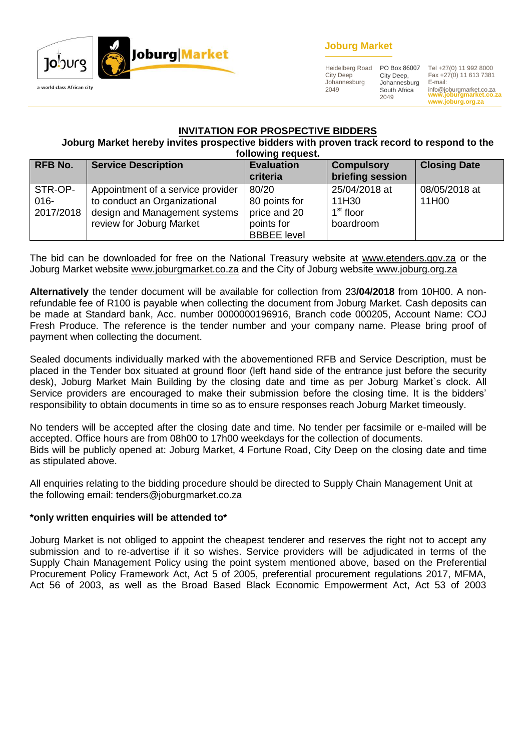

## **Joburg Market**

Heidelberg Road City Deep Johannesburg 2049

City Deep, Johannesburg South Africa 2049

**www.joburgmarket.co.za www.joburg.org.za** PO Box 86007 Tel +27(0) 11 992 8000 Fax +27(0) 11 613 7381 E-mail: info@joburgmarket.co.za

#### **INVITATION FOR PROSPECTIVE BIDDERS**

**Joburg Market hereby invites prospective bidders with proven track record to respond to the following request.**

| <b>RFB No.</b>                  | <b>Service Description</b>                                                                                                     | <b>Evaluation</b><br>criteria                                              | <b>Compulsory</b><br>briefing session                        | <b>Closing Date</b>    |
|---------------------------------|--------------------------------------------------------------------------------------------------------------------------------|----------------------------------------------------------------------------|--------------------------------------------------------------|------------------------|
| STR-OP-<br>$016 -$<br>2017/2018 | Appointment of a service provider<br>to conduct an Organizational<br>design and Management systems<br>review for Joburg Market | 80/20<br>80 points for<br>price and 20<br>points for<br><b>BBBEE</b> level | 25/04/2018 at<br>11H30<br>1 <sup>st</sup> floor<br>boardroom | 08/05/2018 at<br>11H00 |

The bid can be downloaded for free on the National Treasury website at [www.etenders.gov.za](http://www.etenders.gov.za/) or the Joburg Market website [www.joburgmarket.co.za](http://www.joburgmarket.co.za/) and the City of Joburg website [www.joburg.org.za](http://www.joburg.org.za/)

**Alternatively** the tender document will be available for collection from 23**/04/2018** from 10H00. A nonrefundable fee of R100 is payable when collecting the document from Joburg Market. Cash deposits can be made at Standard bank, Acc. number 0000000196916, Branch code 000205, Account Name: COJ Fresh Produce. The reference is the tender number and your company name. Please bring proof of payment when collecting the document.

Sealed documents individually marked with the abovementioned RFB and Service Description, must be placed in the Tender box situated at ground floor (left hand side of the entrance just before the security desk), Joburg Market Main Building by the closing date and time as per Joburg Market`s clock. All Service providers are encouraged to make their submission before the closing time. It is the bidders' responsibility to obtain documents in time so as to ensure responses reach Joburg Market timeously.

No tenders will be accepted after the closing date and time. No tender per facsimile or e-mailed will be accepted. Office hours are from 08h00 to 17h00 weekdays for the collection of documents. Bids will be publicly opened at: Joburg Market, 4 Fortune Road, City Deep on the closing date and time as stipulated above.

All enquiries relating to the bidding procedure should be directed to Supply Chain Management Unit at the following email: tenders@joburgmarket.co.za

#### **\*only written enquiries will be attended to\***

Joburg Market is not obliged to appoint the cheapest tenderer and reserves the right not to accept any submission and to re-advertise if it so wishes. Service providers will be adjudicated in terms of the Supply Chain Management Policy using the point system mentioned above, based on the Preferential Procurement Policy Framework Act, Act 5 of 2005, preferential procurement regulations 2017, MFMA, Act 56 of 2003, as well as the Broad Based Black Economic Empowerment Act, Act 53 of 2003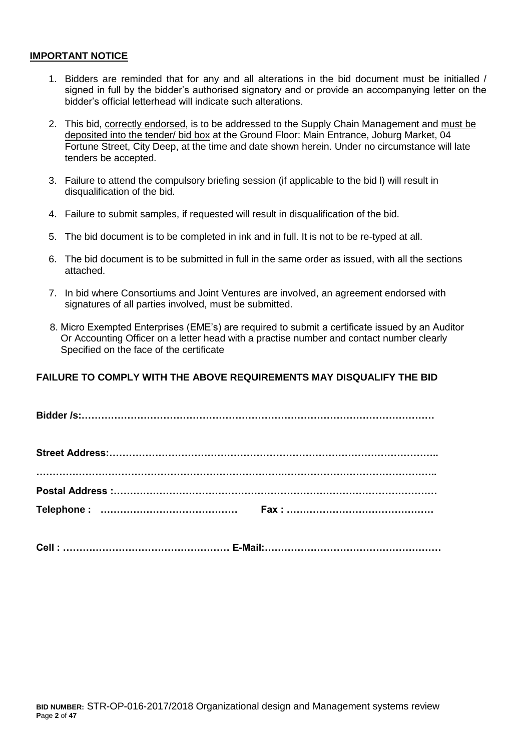#### **IMPORTANT NOTICE**

- 1. Bidders are reminded that for any and all alterations in the bid document must be initialled / signed in full by the bidder's authorised signatory and or provide an accompanying letter on the bidder's official letterhead will indicate such alterations.
- 2. This bid, correctly endorsed, is to be addressed to the Supply Chain Management and must be deposited into the tender/ bid box at the Ground Floor: Main Entrance, Joburg Market, 04 Fortune Street, City Deep, at the time and date shown herein. Under no circumstance will late tenders be accepted.
- 3. Failure to attend the compulsory briefing session (if applicable to the bid l) will result in disqualification of the bid.
- 4. Failure to submit samples, if requested will result in disqualification of the bid.
- 5. The bid document is to be completed in ink and in full. It is not to be re-typed at all.
- 6. The bid document is to be submitted in full in the same order as issued, with all the sections attached.
- 7. In bid where Consortiums and Joint Ventures are involved, an agreement endorsed with signatures of all parties involved, must be submitted.
- 8. Micro Exempted Enterprises (EME's) are required to submit a certificate issued by an Auditor Or Accounting Officer on a letter head with a practise number and contact number clearly Specified on the face of the certificate

## **FAILURE TO COMPLY WITH THE ABOVE REQUIREMENTS MAY DISQUALIFY THE BID**

**Cell : …………………………………………… E-Mail:………………………………………………**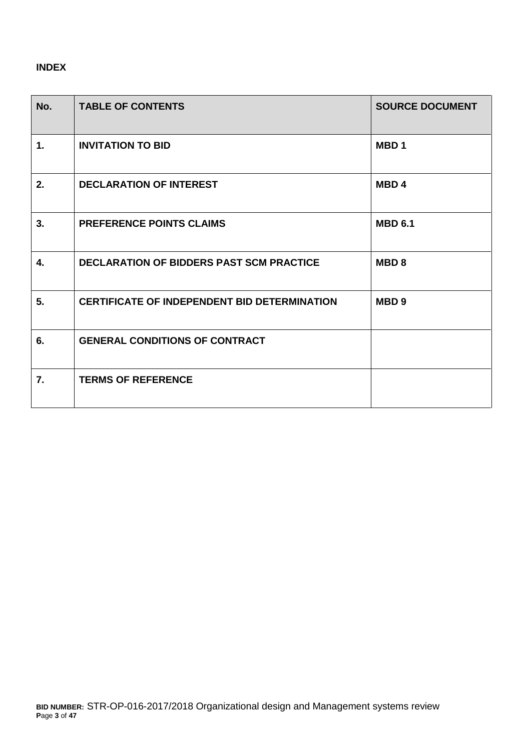# **INDEX**

| No. | <b>TABLE OF CONTENTS</b>                            | <b>SOURCE DOCUMENT</b> |
|-----|-----------------------------------------------------|------------------------|
| 1.  | <b>INVITATION TO BID</b>                            | MBD <sub>1</sub>       |
| 2.  | <b>DECLARATION OF INTEREST</b>                      | MBD <sub>4</sub>       |
| 3.  | <b>PREFERENCE POINTS CLAIMS</b>                     | <b>MBD 6.1</b>         |
| 4.  | <b>DECLARATION OF BIDDERS PAST SCM PRACTICE</b>     | MBD <sub>8</sub>       |
| 5.  | <b>CERTIFICATE OF INDEPENDENT BID DETERMINATION</b> | MBD <sub>9</sub>       |
| 6.  | <b>GENERAL CONDITIONS OF CONTRACT</b>               |                        |
| 7.  | <b>TERMS OF REFERENCE</b>                           |                        |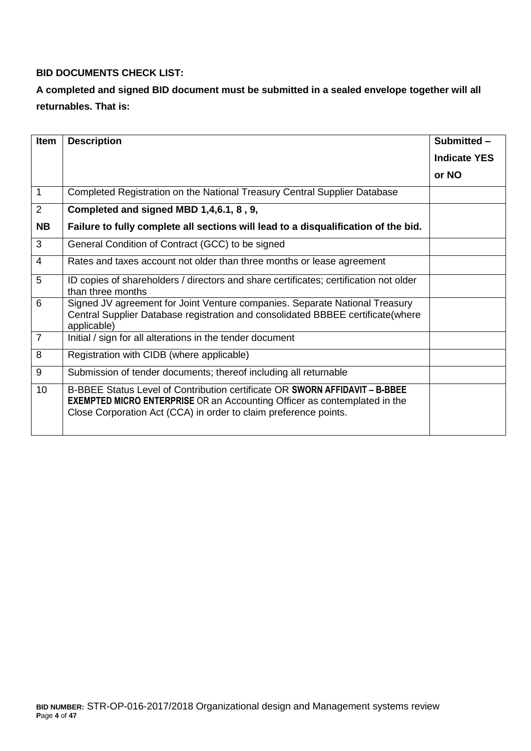# **BID DOCUMENTS CHECK LIST:**

# **A completed and signed BID document must be submitted in a sealed envelope together will all returnables. That is:**

| <b>Item</b>    | <b>Description</b>                                                                                                                                                                                                                  | Submitted -         |
|----------------|-------------------------------------------------------------------------------------------------------------------------------------------------------------------------------------------------------------------------------------|---------------------|
|                |                                                                                                                                                                                                                                     | <b>Indicate YES</b> |
|                |                                                                                                                                                                                                                                     | or NO               |
| 1              | Completed Registration on the National Treasury Central Supplier Database                                                                                                                                                           |                     |
| 2              | Completed and signed MBD 1,4,6.1, 8, 9,                                                                                                                                                                                             |                     |
| <b>NB</b>      | Failure to fully complete all sections will lead to a disqualification of the bid.                                                                                                                                                  |                     |
| 3              | General Condition of Contract (GCC) to be signed                                                                                                                                                                                    |                     |
| $\overline{4}$ | Rates and taxes account not older than three months or lease agreement                                                                                                                                                              |                     |
| 5              | ID copies of shareholders / directors and share certificates; certification not older<br>than three months                                                                                                                          |                     |
| 6              | Signed JV agreement for Joint Venture companies. Separate National Treasury<br>Central Supplier Database registration and consolidated BBBEE certificate(where<br>applicable)                                                       |                     |
| $\overline{7}$ | Initial / sign for all alterations in the tender document                                                                                                                                                                           |                     |
| 8              | Registration with CIDB (where applicable)                                                                                                                                                                                           |                     |
| 9              | Submission of tender documents; thereof including all returnable                                                                                                                                                                    |                     |
| 10             | B-BBEE Status Level of Contribution certificate OR SWORN AFFIDAVIT - B-BBEE<br><b>EXEMPTED MICRO ENTERPRISE</b> OR an Accounting Officer as contemplated in the<br>Close Corporation Act (CCA) in order to claim preference points. |                     |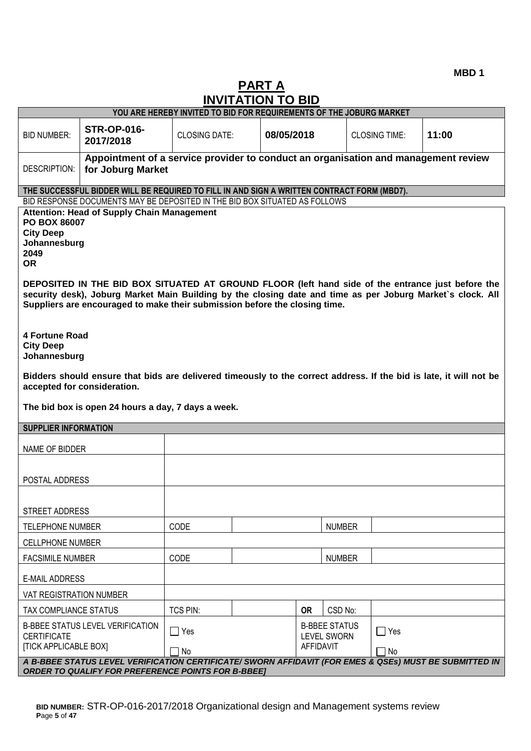**MBD 1**

# **PART A INVITATION TO BID**

|                                       |                                                                                                                                                                                                                                                                                               | YOU ARE HEREBY INVITED TO BID FOR REQUIREMENTS OF THE JOBURG MARKET |  |            |               |                      |       |
|---------------------------------------|-----------------------------------------------------------------------------------------------------------------------------------------------------------------------------------------------------------------------------------------------------------------------------------------------|---------------------------------------------------------------------|--|------------|---------------|----------------------|-------|
| <b>BID NUMBER:</b>                    | <b>STR-OP-016-</b><br>2017/2018                                                                                                                                                                                                                                                               | <b>CLOSING DATE:</b>                                                |  | 08/05/2018 |               | <b>CLOSING TIME:</b> | 11:00 |
| DESCRIPTION:                          | Appointment of a service provider to conduct an organisation and management review<br>for Joburg Market                                                                                                                                                                                       |                                                                     |  |            |               |                      |       |
|                                       | THE SUCCESSFUL BIDDER WILL BE REQUIRED TO FILL IN AND SIGN A WRITTEN CONTRACT FORM (MBD7).                                                                                                                                                                                                    |                                                                     |  |            |               |                      |       |
|                                       | BID RESPONSE DOCUMENTS MAY BE DEPOSITED IN THE BID BOX SITUATED AS FOLLOWS                                                                                                                                                                                                                    |                                                                     |  |            |               |                      |       |
| <b>City Deep</b><br>2049<br><b>OR</b> | <b>Attention: Head of Supply Chain Management</b><br>PO BOX 86007<br>Johannesburg                                                                                                                                                                                                             |                                                                     |  |            |               |                      |       |
|                                       | DEPOSITED IN THE BID BOX SITUATED AT GROUND FLOOR (left hand side of the entrance just before the<br>security desk), Joburg Market Main Building by the closing date and time as per Joburg Market's clock. All<br>Suppliers are encouraged to make their submission before the closing time. |                                                                     |  |            |               |                      |       |
| <b>City Deep</b>                      | <b>4 Fortune Road</b><br>Johannesburg                                                                                                                                                                                                                                                         |                                                                     |  |            |               |                      |       |
|                                       | Bidders should ensure that bids are delivered timeously to the correct address. If the bid is late, it will not be<br>accepted for consideration.                                                                                                                                             |                                                                     |  |            |               |                      |       |
|                                       | The bid box is open 24 hours a day, 7 days a week.                                                                                                                                                                                                                                            |                                                                     |  |            |               |                      |       |
| <b>SUPPLIER INFORMATION</b>           |                                                                                                                                                                                                                                                                                               |                                                                     |  |            |               |                      |       |
| NAME OF BIDDER                        |                                                                                                                                                                                                                                                                                               |                                                                     |  |            |               |                      |       |
| POSTAL ADDRESS                        |                                                                                                                                                                                                                                                                                               |                                                                     |  |            |               |                      |       |
| <b>STREET ADDRESS</b>                 |                                                                                                                                                                                                                                                                                               |                                                                     |  |            |               |                      |       |
| <b>TELEPHONE NUMBER</b>               |                                                                                                                                                                                                                                                                                               | CODE                                                                |  |            | <b>NUMBER</b> |                      |       |
| <b>CELLPHONE NUMBER</b>               |                                                                                                                                                                                                                                                                                               |                                                                     |  |            |               |                      |       |
|                                       | CODE<br><b>FACSIMILE NUMBER</b><br><b>NUMBER</b>                                                                                                                                                                                                                                              |                                                                     |  |            |               |                      |       |
| <b>E-MAIL ADDRESS</b>                 |                                                                                                                                                                                                                                                                                               |                                                                     |  |            |               |                      |       |
| VAT REGISTRATION NUMBER               |                                                                                                                                                                                                                                                                                               |                                                                     |  |            |               |                      |       |
| TAX COMPLIANCE STATUS                 |                                                                                                                                                                                                                                                                                               | TCS PIN:                                                            |  | <b>OR</b>  | CSD No:       |                      |       |
| <b>CERTIFICATE</b>                    | <b>B-BBEE STATUS LEVEL VERIFICATION</b><br><b>B-BBEE STATUS</b><br>$\Box$ Yes<br>$\Box$ Yes<br><b>LEVEL SWORN</b><br><b>[TICK APPLICABLE BOX]</b><br>AFFIDAVIT<br>No<br>7 No                                                                                                                  |                                                                     |  |            |               |                      |       |
|                                       | A B-BBEE STATUS LEVEL VERIFICATION CERTIFICATE/ SWORN AFFIDAVIT (FOR EMES & QSEs) MUST BE SUBMITTED IN<br><b>ORDER TO QUALIFY FOR PREFERENCE POINTS FOR B-BBEE]</b>                                                                                                                           |                                                                     |  |            |               |                      |       |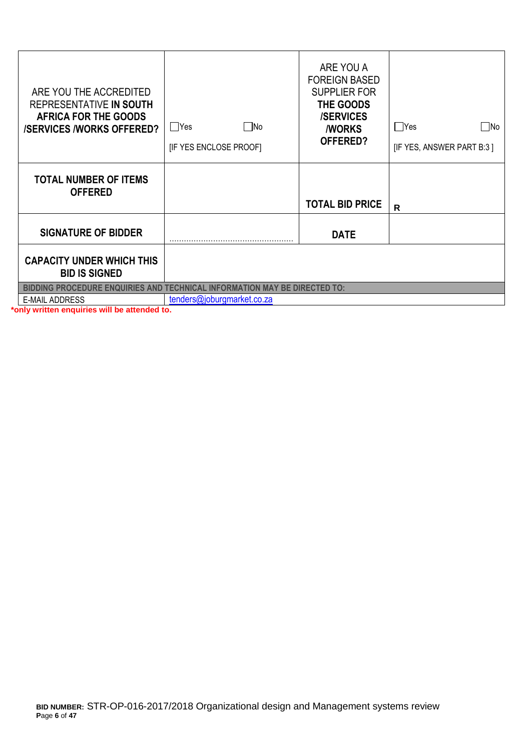| ARE YOU THE ACCREDITED<br>REPRESENTATIVE IN SOUTH<br><b>AFRICA FOR THE GOODS</b><br><b>/SERVICES /WORKS OFFERED?</b> | $\square$ No<br>  Yes<br>[IF YES ENCLOSE PROOF] | ARE YOU A<br><b>FOREIGN BASED</b><br><b>SUPPLIER FOR</b><br>THE GOODS<br><b>/SERVICES</b><br><b><i>NORKS</i></b><br>OFFERED? | Yes<br> No<br>[IF YES, ANSWER PART B:3] |
|----------------------------------------------------------------------------------------------------------------------|-------------------------------------------------|------------------------------------------------------------------------------------------------------------------------------|-----------------------------------------|
| <b>TOTAL NUMBER OF ITEMS</b><br><b>OFFERED</b>                                                                       |                                                 | <b>TOTAL BID PRICE</b>                                                                                                       | R                                       |
| <b>SIGNATURE OF BIDDER</b>                                                                                           |                                                 | <b>DATE</b>                                                                                                                  |                                         |
| <b>CAPACITY UNDER WHICH THIS</b><br><b>BID IS SIGNED</b>                                                             |                                                 |                                                                                                                              |                                         |
| <b>BIDDING PROCEDURE ENQUIRIES AND TECHNICAL INFORMATION MAY BE DIRECTED TO:</b>                                     |                                                 |                                                                                                                              |                                         |
| <b>E-MAIL ADDRESS</b>                                                                                                | tenders@joburgmarket.co.za                      |                                                                                                                              |                                         |

**\*only written enquiries will be attended to.**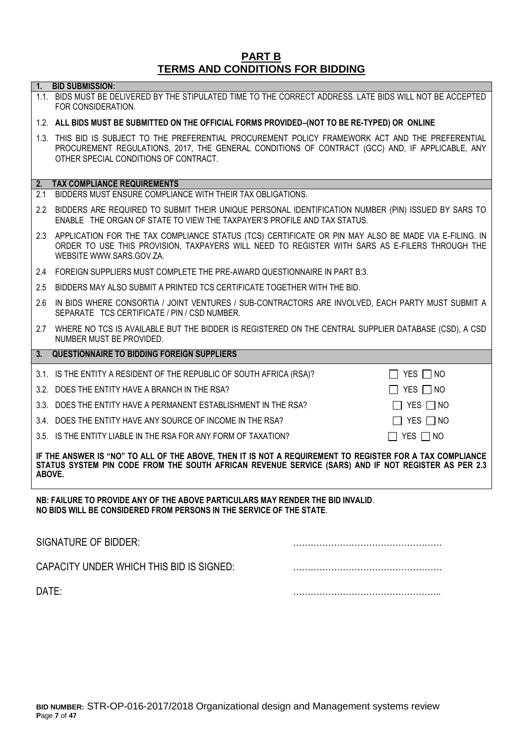# **PART B TERMS AND CONDITIONS FOR BIDDING**

**1. BID SUBMISSION:**

|                                                                                                                                                                                                                           | 1.1. BIDS MUST BE DELIVERED BY THE STIPULATED TIME TO THE CORRECT ADDRESS. LATE BIDS WILL NOT BE ACCEPTED<br>FOR CONSIDERATION.                                                                                                                |  |  |
|---------------------------------------------------------------------------------------------------------------------------------------------------------------------------------------------------------------------------|------------------------------------------------------------------------------------------------------------------------------------------------------------------------------------------------------------------------------------------------|--|--|
|                                                                                                                                                                                                                           | 1.2. ALL BIDS MUST BE SUBMITTED ON THE OFFICIAL FORMS PROVIDED-(NOT TO BE RE-TYPED) OR ONLINE                                                                                                                                                  |  |  |
|                                                                                                                                                                                                                           | 1.3. THIS BID IS SUBJECT TO THE PREFERENTIAL PROCUREMENT POLICY FRAMEWORK ACT AND THE PREFERENTIAL<br>PROCUREMENT REGULATIONS, 2017, THE GENERAL CONDITIONS OF CONTRACT (GCC) AND, IF APPLICABLE, ANY<br>OTHER SPECIAL CONDITIONS OF CONTRACT. |  |  |
| 2.                                                                                                                                                                                                                        | <b>TAX COMPLIANCE REQUIREMENTS</b><br>2.1 BIDDERS MUST ENSURE COMPLIANCE WITH THEIR TAX OBLIGATIONS.                                                                                                                                           |  |  |
|                                                                                                                                                                                                                           |                                                                                                                                                                                                                                                |  |  |
|                                                                                                                                                                                                                           | 2.2 BIDDERS ARE REQUIRED TO SUBMIT THEIR UNIQUE PERSONAL IDENTIFICATION NUMBER (PIN) ISSUED BY SARS TO<br>ENABLE THE ORGAN OF STATE TO VIEW THE TAXPAYER'S PROFILE AND TAX STATUS.                                                             |  |  |
|                                                                                                                                                                                                                           | 2.3 APPLICATION FOR THE TAX COMPLIANCE STATUS (TCS) CERTIFICATE OR PIN MAY ALSO BE MADE VIA E-FILING. IN<br>ORDER TO USE THIS PROVISION, TAXPAYERS WILL NEED TO REGISTER WITH SARS AS E-FILERS THROUGH THE<br>WEBSITE WWW.SARS.GOV.ZA.         |  |  |
|                                                                                                                                                                                                                           | 2.4 FOREIGN SUPPLIERS MUST COMPLETE THE PRE-AWARD QUESTIONNAIRE IN PART B:3.                                                                                                                                                                   |  |  |
|                                                                                                                                                                                                                           | 2.5 BIDDERS MAY ALSO SUBMIT A PRINTED TCS CERTIFICATE TOGETHER WITH THE BID.                                                                                                                                                                   |  |  |
| 2.6                                                                                                                                                                                                                       | IN BIDS WHERE CONSORTIA / JOINT VENTURES / SUB-CONTRACTORS ARE INVOLVED, EACH PARTY MUST SUBMIT A<br>SEPARATE TCS CERTIFICATE / PIN / CSD NUMBER.                                                                                              |  |  |
| 2.7                                                                                                                                                                                                                       | WHERE NO TCS IS AVAILABLE BUT THE BIDDER IS REGISTERED ON THE CENTRAL SUPPLIER DATABASE (CSD), A CSD<br>NUMBER MUST BE PROVIDED.                                                                                                               |  |  |
| 3.                                                                                                                                                                                                                        | <b>QUESTIONNAIRE TO BIDDING FOREIGN SUPPLIERS</b>                                                                                                                                                                                              |  |  |
|                                                                                                                                                                                                                           | 3.1. IS THE ENTITY A RESIDENT OF THE REPUBLIC OF SOUTH AFRICA (RSA)?<br>$\Box$ Yes $\Box$ No                                                                                                                                                   |  |  |
|                                                                                                                                                                                                                           | 3.2. DOES THE ENTITY HAVE A BRANCH IN THE RSA?<br>$\Box$ Yes $\Box$ No                                                                                                                                                                         |  |  |
|                                                                                                                                                                                                                           | YES $\Box$ NO<br>3.3. DOES THE ENTITY HAVE A PERMANENT ESTABLISHMENT IN THE RSA?<br>$\Box$                                                                                                                                                     |  |  |
|                                                                                                                                                                                                                           | YES $\Box$ NO<br>3.4. DOES THE ENTITY HAVE ANY SOURCE OF INCOME IN THE RSA?<br>$\Box$                                                                                                                                                          |  |  |
|                                                                                                                                                                                                                           | $\Box$ yes $\Box$ no<br>3.5. IS THE ENTITY LIABLE IN THE RSA FOR ANY FORM OF TAXATION?                                                                                                                                                         |  |  |
| IF THE ANSWER IS "NO" TO ALL OF THE ABOVE, THEN IT IS NOT A REQUIREMENT TO REGISTER FOR A TAX COMPLIANCE<br>STATUS SYSTEM PIN CODE FROM THE SOUTH AFRICAN REVENUE SERVICE (SARS) AND IF NOT REGISTER AS PER 2.3<br>ABOVE. |                                                                                                                                                                                                                                                |  |  |

**NB: FAILURE TO PROVIDE ANY OF THE ABOVE PARTICULARS MAY RENDER THE BID INVALID**. **NO BIDS WILL BE CONSIDERED FROM PERSONS IN THE SERVICE OF THE STATE**.

| SIGNATURE OF BIDDER:                     |  |
|------------------------------------------|--|
| CAPACITY UNDER WHICH THIS BID IS SIGNED: |  |
| DATE:                                    |  |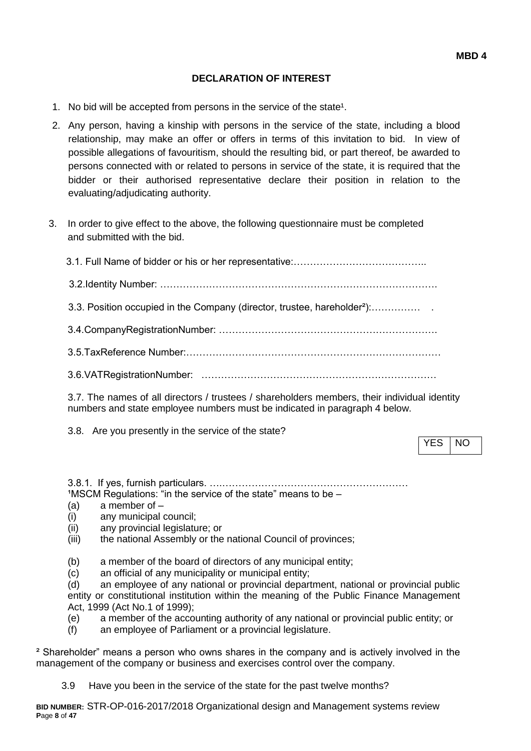#### **DECLARATION OF INTEREST**

- 1. No bid will be accepted from persons in the service of the state<sup>1</sup>.
- 2. Any person, having a kinship with persons in the service of the state, including a blood relationship, may make an offer or offers in terms of this invitation to bid. In view of possible allegations of favouritism, should the resulting bid, or part thereof, be awarded to persons connected with or related to persons in service of the state, it is required that the bidder or their authorised representative declare their position in relation to the evaluating/adjudicating authority.
- 3. In order to give effect to the above, the following questionnaire must be completed and submitted with the bid.

| 3.3. Position occupied in the Company (director, trustee, hareholder <sup>2</sup> ): |
|--------------------------------------------------------------------------------------|
|                                                                                      |
|                                                                                      |
|                                                                                      |
|                                                                                      |

3.7. The names of all directors / trustees / shareholders members, their individual identity numbers and state employee numbers must be indicated in paragraph 4 below.

3.8. Are you presently in the service of the state?

YES INO

3.8.1. If yes, furnish particulars. ….…………………………………………………  $1$ MSCM Regulations: "in the service of the state" means to be  $-$ 

- (a) a member of –
- (i) any municipal council;
- (ii) any provincial legislature; or
- (iii) the national Assembly or the national Council of provinces;
- (b) a member of the board of directors of any municipal entity;
- (c) an official of any municipality or municipal entity;

(d) an employee of any national or provincial department, national or provincial public entity or constitutional institution within the meaning of the Public Finance Management Act, 1999 (Act No.1 of 1999);

- (e) a member of the accounting authority of any national or provincial public entity; or
- (f) an employee of Parliament or a provincial legislature.

² Shareholder" means a person who owns shares in the company and is actively involved in the management of the company or business and exercises control over the company.

3.9 Have you been in the service of the state for the past twelve months?

**BID NUMBER:** STR-OP-016-2017/2018 Organizational design and Management systems review **P**age **8** of **47**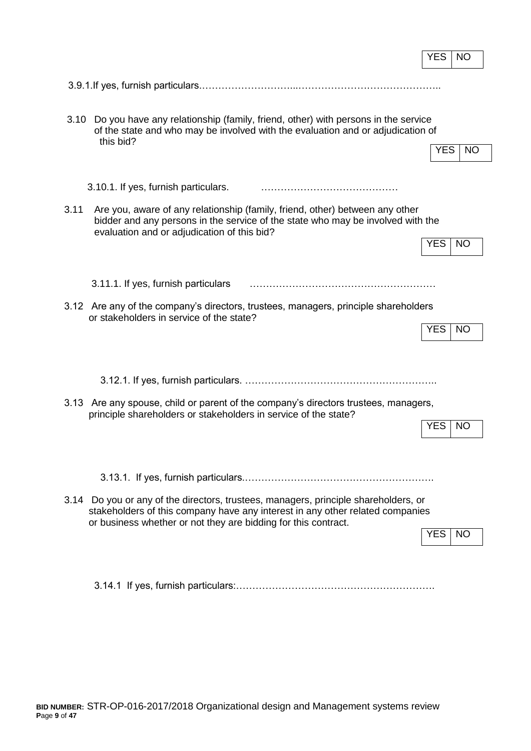|                                                                                                                                                                                                                                        | <b>YES</b><br><b>NO</b> |
|----------------------------------------------------------------------------------------------------------------------------------------------------------------------------------------------------------------------------------------|-------------------------|
|                                                                                                                                                                                                                                        |                         |
| Do you have any relationship (family, friend, other) with persons in the service<br>3.10<br>of the state and who may be involved with the evaluation and or adjudication of<br>this bid?                                               | <b>YES</b><br><b>NO</b> |
| 3.10.1. If yes, furnish particulars.                                                                                                                                                                                                   |                         |
| 3.11<br>Are you, aware of any relationship (family, friend, other) between any other<br>bidder and any persons in the service of the state who may be involved with the<br>evaluation and or adjudication of this bid?                 | <b>YES</b><br><b>NO</b> |
| 3.11.1. If yes, furnish particulars                                                                                                                                                                                                    |                         |
| 3.12 Are any of the company's directors, trustees, managers, principle shareholders<br>or stakeholders in service of the state?                                                                                                        | <b>YES</b><br><b>NO</b> |
|                                                                                                                                                                                                                                        |                         |
| 3.13 Are any spouse, child or parent of the company's directors trustees, managers,<br>principle shareholders or stakeholders in service of the state?                                                                                 | <b>YES</b><br><b>NO</b> |
|                                                                                                                                                                                                                                        |                         |
| 3.14 Do you or any of the directors, trustees, managers, principle shareholders, or<br>stakeholders of this company have any interest in any other related companies<br>or business whether or not they are bidding for this contract. | YES.<br>  NO            |
|                                                                                                                                                                                                                                        |                         |

 $\mathbf{r}$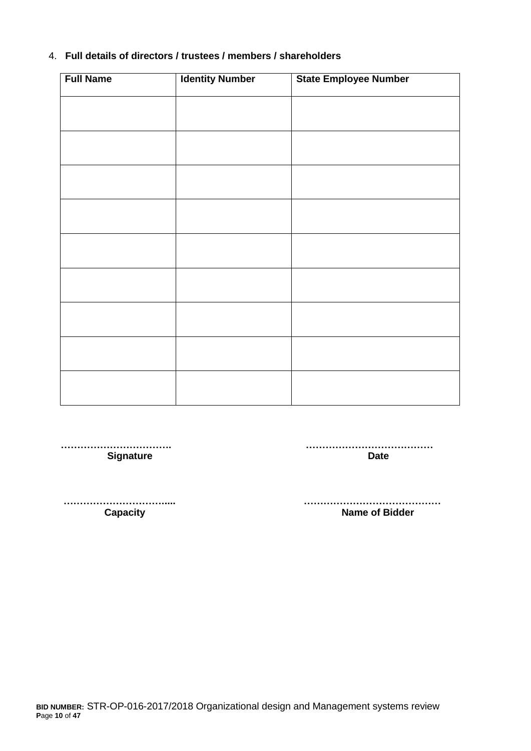#### 4. **Full details of directors / trustees / members / shareholders**

| <b>Full Name</b> | <b>Identity Number</b> | <b>State Employee Number</b> |
|------------------|------------------------|------------------------------|
|                  |                        |                              |
|                  |                        |                              |
|                  |                        |                              |
|                  |                        |                              |
|                  |                        |                              |
|                  |                        |                              |
|                  |                        |                              |
|                  |                        |                              |
|                  |                        |                              |
|                  |                        |                              |
|                  |                        |                              |
|                  |                        |                              |
|                  |                        |                              |
|                  |                        |                              |
|                  |                        |                              |
|                  |                        |                              |
|                  |                        |                              |

 **……………………………. ………………………………… Signature Date** 

 **…………………………..... …………………………………… Name of Bidder**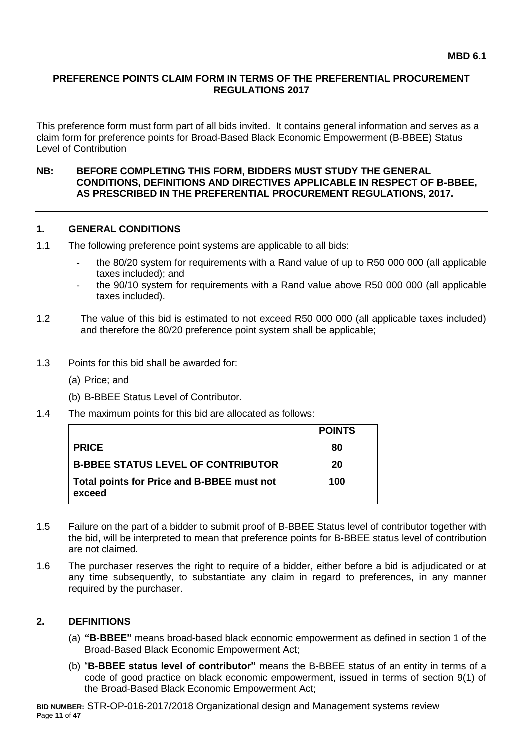#### **PREFERENCE POINTS CLAIM FORM IN TERMS OF THE PREFERENTIAL PROCUREMENT REGULATIONS 2017**

This preference form must form part of all bids invited. It contains general information and serves as a claim form for preference points for Broad-Based Black Economic Empowerment (B-BBEE) Status Level of Contribution

#### **NB: BEFORE COMPLETING THIS FORM, BIDDERS MUST STUDY THE GENERAL CONDITIONS, DEFINITIONS AND DIRECTIVES APPLICABLE IN RESPECT OF B-BBEE, AS PRESCRIBED IN THE PREFERENTIAL PROCUREMENT REGULATIONS, 2017.**

#### **1. GENERAL CONDITIONS**

- 1.1 The following preference point systems are applicable to all bids:
	- the 80/20 system for requirements with a Rand value of up to R50 000 000 (all applicable taxes included); and
	- the 90/10 system for requirements with a Rand value above R50 000 000 (all applicable taxes included).
- 1.2 The value of this bid is estimated to not exceed R50 000 000 (all applicable taxes included) and therefore the 80/20 preference point system shall be applicable;
- 1.3 Points for this bid shall be awarded for:
	- (a) Price; and
	- (b) B-BBEE Status Level of Contributor.
- 1.4 The maximum points for this bid are allocated as follows:

|                                                      | <b>POINTS</b> |
|------------------------------------------------------|---------------|
| <b>PRICE</b>                                         | 80            |
| <b>B-BBEE STATUS LEVEL OF CONTRIBUTOR</b>            | 20            |
| Total points for Price and B-BBEE must not<br>exceed | 100           |

- 1.5 Failure on the part of a bidder to submit proof of B-BBEE Status level of contributor together with the bid, will be interpreted to mean that preference points for B-BBEE status level of contribution are not claimed.
- 1.6 The purchaser reserves the right to require of a bidder, either before a bid is adjudicated or at any time subsequently, to substantiate any claim in regard to preferences, in any manner required by the purchaser.

#### **2. DEFINITIONS**

- (a) **"B-BBEE"** means broad-based black economic empowerment as defined in section 1 of the Broad-Based Black Economic Empowerment Act;
- (b) "**B-BBEE status level of contributor"** means the B-BBEE status of an entity in terms of a code of good practice on black economic empowerment, issued in terms of section 9(1) of the Broad-Based Black Economic Empowerment Act;

**BID NUMBER:** STR-OP-016-2017/2018 Organizational design and Management systems review **P**age **11** of **47**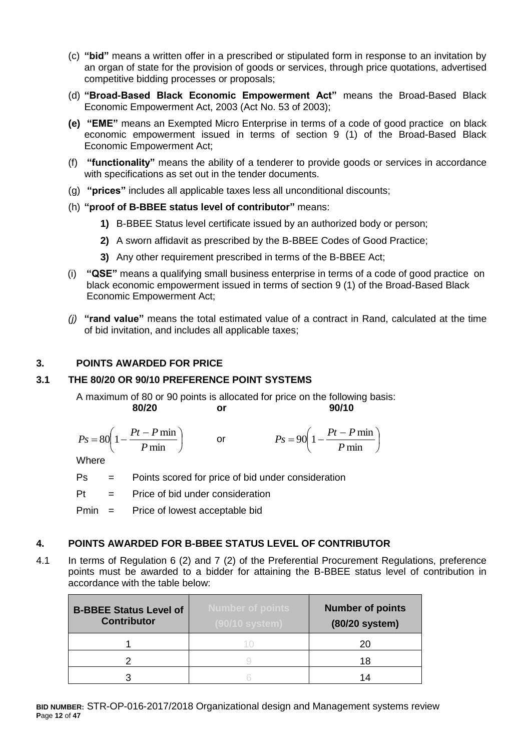- (c) **"bid"** means a written offer in a prescribed or stipulated form in response to an invitation by an organ of state for the provision of goods or services, through price quotations, advertised competitive bidding processes or proposals;
- (d) **"Broad-Based Black Economic Empowerment Act"** means the Broad-Based Black Economic Empowerment Act, 2003 (Act No. 53 of 2003);
- **(e) "EME"** means an Exempted Micro Enterprise in terms of a code of good practice on black economic empowerment issued in terms of section 9 (1) of the Broad-Based Black Economic Empowerment Act;
- (f) **"functionality"** means the ability of a tenderer to provide goods or services in accordance with specifications as set out in the tender documents.
- (g) **"prices"** includes all applicable taxes less all unconditional discounts;
- (h) **"proof of B-BBEE status level of contributor"** means:
	- **1)** B-BBEE Status level certificate issued by an authorized body or person;
	- **2)** A sworn affidavit as prescribed by the B-BBEE Codes of Good Practice;
	- **3)** Any other requirement prescribed in terms of the B-BBEE Act;
- (i) **"QSE"** means a qualifying small business enterprise in terms of a code of good practice on black economic empowerment issued in terms of section 9 (1) of the Broad-Based Black Economic Empowerment Act;
- *(j)* **"rand value"** means the total estimated value of a contract in Rand, calculated at the time of bid invitation, and includes all applicable taxes;

## **3. POINTS AWARDED FOR PRICE**

#### **3.1 THE 80/20 OR 90/10 PREFERENCE POINT SYSTEMS**

A maximum of 80 or 90 points is allocated for price on the following basis: **80/20 or 90/10**

$$
Ps = 80\left(1 - \frac{Pt - P \min}{P \min}\right) \qquad \text{or} \qquad \qquad Ps = 90\left(1 - \frac{Pt - P \min}{P \min}\right)
$$

**Where** 

Ps = Points scored for price of bid under consideration

 $Pt =$  Price of bid under consideration

Pmin = Price of lowest acceptable bid

#### **4. POINTS AWARDED FOR B-BBEE STATUS LEVEL OF CONTRIBUTOR**

4.1 In terms of Regulation 6 (2) and 7 (2) of the Preferential Procurement Regulations, preference points must be awarded to a bidder for attaining the B-BBEE status level of contribution in accordance with the table below:

| <b>B-BBEE Status Level of</b><br><b>Contributor</b> | <b>Number of points</b><br>(90/10 system) | <b>Number of points</b><br>(80/20 system) |
|-----------------------------------------------------|-------------------------------------------|-------------------------------------------|
|                                                     |                                           | 20                                        |
|                                                     |                                           | 18                                        |
|                                                     |                                           | 14                                        |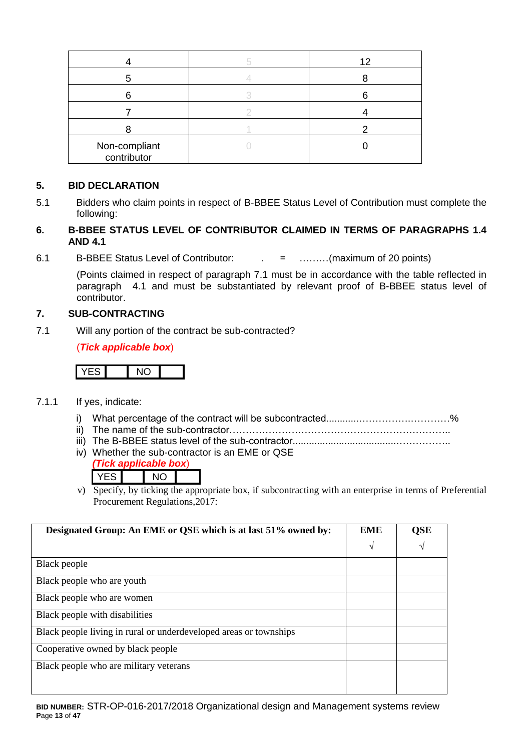|                              | 12 |
|------------------------------|----|
|                              |    |
|                              |    |
|                              |    |
|                              |    |
| Non-compliant<br>contributor |    |

## **5. BID DECLARATION**

5.1 Bidders who claim points in respect of B-BBEE Status Level of Contribution must complete the following:

#### **6. B-BBEE STATUS LEVEL OF CONTRIBUTOR CLAIMED IN TERMS OF PARAGRAPHS 1.4 AND 4.1**

6.1 B-BBEE Status Level of Contributor: . = ………(maximum of 20 points)

(Points claimed in respect of paragraph 7.1 must be in accordance with the table reflected in paragraph 4.1 and must be substantiated by relevant proof of B-BBEE status level of contributor.

#### **7. SUB-CONTRACTING**

7.1 Will any portion of the contract be sub-contracted?

(*Tick applicable box*)

# YES NO

- 7.1.1 If yes, indicate:
	- i) What percentage of the contract will be subcontracted............…………….…………%
	- ii) The name of the sub-contractor…………………………………………………………..
	- iii) The B-BBEE status level of the sub-contractor......................................……………..
	- iv) Whether the sub-contractor is an EME or QSE

|        | <i>ick annlicable box</i> ) |  |
|--------|-----------------------------|--|
| $\sim$ | NO.                         |  |

v) Specify, by ticking the appropriate box, if subcontracting with an enterprise in terms of Preferential Procurement Regulations,2017:

| Designated Group: An EME or QSE which is at last 51% owned by:    | <b>EME</b> | QSE        |
|-------------------------------------------------------------------|------------|------------|
|                                                                   | V          | $\sqrt{ }$ |
| Black people                                                      |            |            |
| Black people who are youth                                        |            |            |
| Black people who are women                                        |            |            |
| Black people with disabilities                                    |            |            |
| Black people living in rural or underdeveloped areas or townships |            |            |
| Cooperative owned by black people                                 |            |            |
| Black people who are military veterans                            |            |            |
|                                                                   |            |            |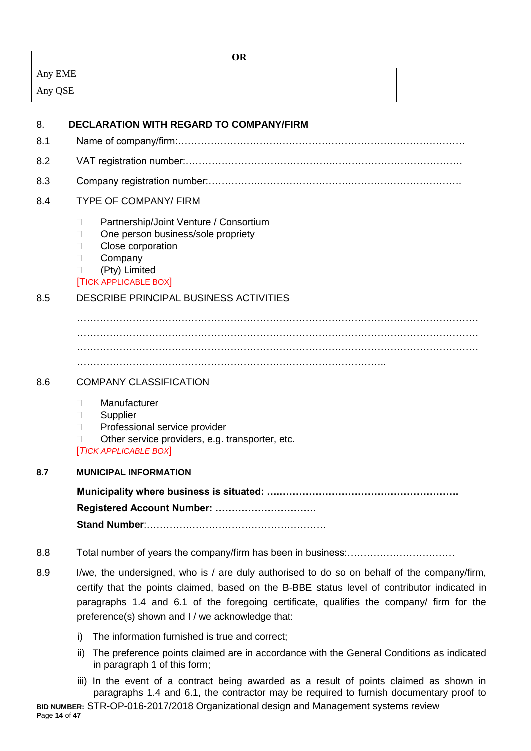| <b>OR</b> |  |
|-----------|--|
| Any EME   |  |
| Any QSE   |  |

| 8.  | <b>DECLARATION WITH REGARD TO COMPANY/FIRM</b>                                                                                                                                                                                                                                                                                              |
|-----|---------------------------------------------------------------------------------------------------------------------------------------------------------------------------------------------------------------------------------------------------------------------------------------------------------------------------------------------|
| 8.1 |                                                                                                                                                                                                                                                                                                                                             |
| 8.2 |                                                                                                                                                                                                                                                                                                                                             |
| 8.3 |                                                                                                                                                                                                                                                                                                                                             |
| 8.4 | <b>TYPE OF COMPANY/ FIRM</b>                                                                                                                                                                                                                                                                                                                |
|     | Partnership/Joint Venture / Consortium<br>$\Box$<br>One person business/sole propriety<br>п<br>Close corporation<br>$\Box$<br>Company<br>П<br>(Pty) Limited<br>$\mathbf{L}$<br><b>TICK APPLICABLE BOX</b>                                                                                                                                   |
| 8.5 | <b>DESCRIBE PRINCIPAL BUSINESS ACTIVITIES</b>                                                                                                                                                                                                                                                                                               |
|     |                                                                                                                                                                                                                                                                                                                                             |
| 8.6 | <b>COMPANY CLASSIFICATION</b>                                                                                                                                                                                                                                                                                                               |
|     | Manufacturer<br>$\Box$<br>Supplier<br>П<br>Professional service provider<br>П<br>Other service providers, e.g. transporter, etc.<br>П<br><b>TICK APPLICABLE BOX</b>                                                                                                                                                                         |
| 8.7 | <b>MUNICIPAL INFORMATION</b>                                                                                                                                                                                                                                                                                                                |
|     | Registered Account Number:                                                                                                                                                                                                                                                                                                                  |
| 8.8 |                                                                                                                                                                                                                                                                                                                                             |
| 8.9 | I/we, the undersigned, who is / are duly authorised to do so on behalf of the company/firm,<br>certify that the points claimed, based on the B-BBE status level of contributor indicated in<br>paragraphs 1.4 and 6.1 of the foregoing certificate, qualifies the company/ firm for the<br>preference(s) shown and I / we acknowledge that: |

- i) The information furnished is true and correct;
- ii) The preference points claimed are in accordance with the General Conditions as indicated in paragraph 1 of this form;
- **BID NUMBER:** STR-OP-016-2017/2018 Organizational design and Management systems review **P**age **14** of **47** iii) In the event of a contract being awarded as a result of points claimed as shown in paragraphs 1.4 and 6.1, the contractor may be required to furnish documentary proof to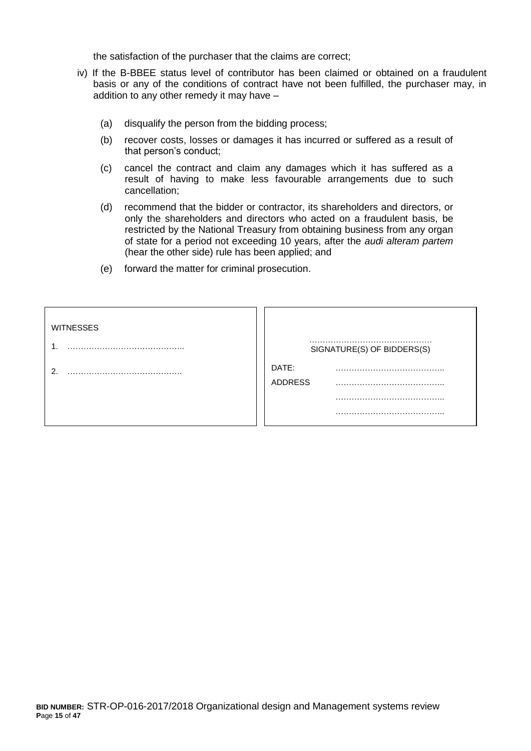the satisfaction of the purchaser that the claims are correct;

- iv) If the B-BBEE status level of contributor has been claimed or obtained on a fraudulent basis or any of the conditions of contract have not been fulfilled, the purchaser may, in addition to any other remedy it may have –
	- (a) disqualify the person from the bidding process;
	- (b) recover costs, losses or damages it has incurred or suffered as a result of that person's conduct;
	- (c) cancel the contract and claim any damages which it has suffered as a result of having to make less favourable arrangements due to such cancellation;
	- (d) recommend that the bidder or contractor, its shareholders and directors, or only the shareholders and directors who acted on a fraudulent basis, be restricted by the National Treasury from obtaining business from any organ of state for a period not exceeding 10 years, after the *audi alteram partem* (hear the other side) rule has been applied; and
	- (e) forward the matter for criminal prosecution.

| <b>WITNESSES</b><br>и | SIGNATURE(S) OF BIDDERS(S) |
|-----------------------|----------------------------|
| ົ                     | DATE:<br><b>ADDRESS</b>    |
|                       |                            |
|                       |                            |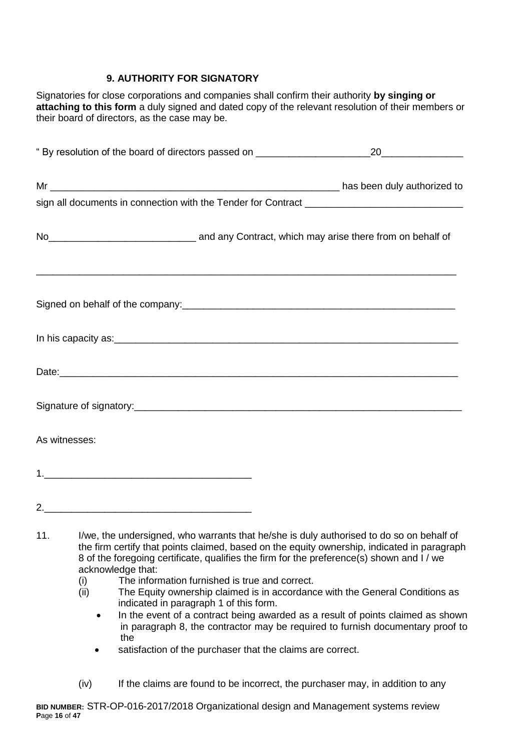# **9. AUTHORITY FOR SIGNATORY**

Signatories for close corporations and companies shall confirm their authority **by singing or attaching to this form** a duly signed and dated copy of the relevant resolution of their members or their board of directors, as the case may be.

| No <sub>___________________________________</sub> and any Contract, which may arise there from on behalf of |  |
|-------------------------------------------------------------------------------------------------------------|--|
|                                                                                                             |  |
|                                                                                                             |  |
|                                                                                                             |  |
|                                                                                                             |  |
| As witnesses:                                                                                               |  |
|                                                                                                             |  |
|                                                                                                             |  |
|                                                                                                             |  |

- 11. I/we, the undersigned, who warrants that he/she is duly authorised to do so on behalf of the firm certify that points claimed, based on the equity ownership, indicated in paragraph 8 of the foregoing certificate, qualifies the firm for the preference(s) shown and I / we acknowledge that:
	- (i) The information furnished is true and correct.
	- (ii) The Equity ownership claimed is in accordance with the General Conditions as indicated in paragraph 1 of this form.
		- In the event of a contract being awarded as a result of points claimed as shown in paragraph 8, the contractor may be required to furnish documentary proof to the
		- satisfaction of the purchaser that the claims are correct.
	- (iv) If the claims are found to be incorrect, the purchaser may, in addition to any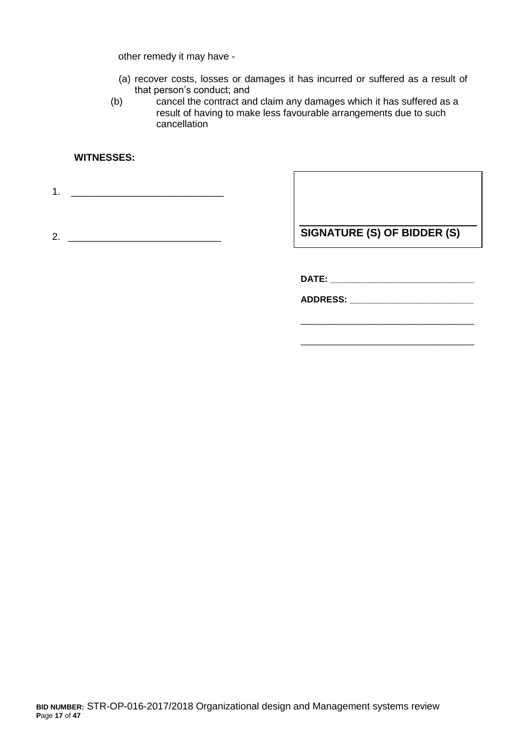other remedy it may have -

- (a) recover costs, losses or damages it has incurred or suffered as a result of that person's conduct; and
- (b) cancel the contract and claim any damages which it has suffered as a result of having to make less favourable arrangements due to such cancellation

#### **WITNESSES:**

1. \_\_\_\_\_\_\_\_\_\_\_\_\_\_\_\_\_\_\_\_\_\_\_\_\_\_\_\_

2. \_\_\_\_\_\_\_\_\_\_\_\_\_\_\_\_\_\_\_\_\_\_\_\_\_\_\_\_

**SIGNATURE (S) OF BIDDER (S)**

\_\_\_\_\_\_\_\_\_\_\_\_\_\_\_\_\_\_\_\_\_\_\_\_\_\_\_\_\_\_\_\_\_\_\_

\_\_\_\_\_\_\_\_\_\_\_\_\_\_\_\_\_\_\_\_\_\_\_\_\_\_\_\_\_\_\_\_\_\_\_

**DATE: \_\_\_\_\_\_\_\_\_\_\_\_\_\_\_\_\_\_\_\_\_\_\_\_\_\_\_\_\_**

**ADDRESS: \_\_\_\_\_\_\_\_\_\_\_\_\_\_\_\_\_\_\_\_\_\_\_\_\_**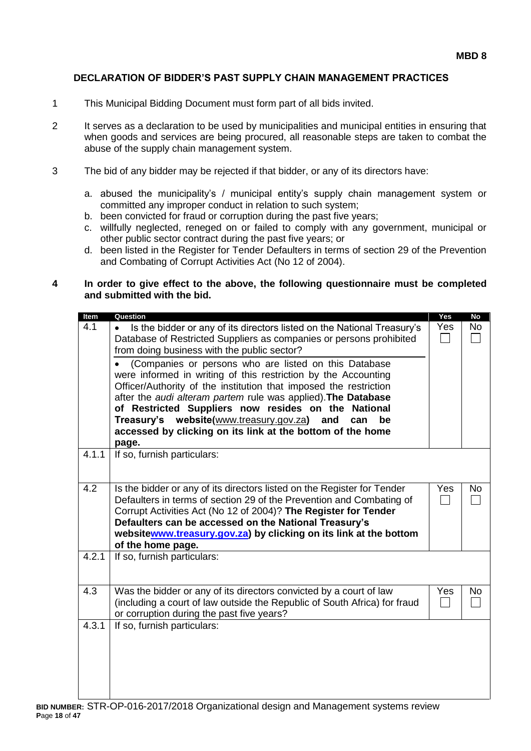#### **DECLARATION OF BIDDER'S PAST SUPPLY CHAIN MANAGEMENT PRACTICES**

- 1 This Municipal Bidding Document must form part of all bids invited.
- 2 It serves as a declaration to be used by municipalities and municipal entities in ensuring that when goods and services are being procured, all reasonable steps are taken to combat the abuse of the supply chain management system.
- 3 The bid of any bidder may be rejected if that bidder, or any of its directors have:
	- a. abused the municipality's / municipal entity's supply chain management system or committed any improper conduct in relation to such system;
	- b. been convicted for fraud or corruption during the past five years;
	- c. willfully neglected, reneged on or failed to comply with any government, municipal or other public sector contract during the past five years; or
	- d. been listed in the Register for Tender Defaulters in terms of section 29 of the Prevention and Combating of Corrupt Activities Act (No 12 of 2004).

#### **4 In order to give effect to the above, the following questionnaire must be completed and submitted with the bid.**

| Item  | Question                                                                                                                                                                                                                                                                                                                                                                                                                                          | Yes                             | <b>No</b> |
|-------|---------------------------------------------------------------------------------------------------------------------------------------------------------------------------------------------------------------------------------------------------------------------------------------------------------------------------------------------------------------------------------------------------------------------------------------------------|---------------------------------|-----------|
| 4.1   | Is the bidder or any of its directors listed on the National Treasury's<br>Database of Restricted Suppliers as companies or persons prohibited<br>from doing business with the public sector?                                                                                                                                                                                                                                                     | Yes<br>$\sim$                   | <b>No</b> |
|       | (Companies or persons who are listed on this Database<br>were informed in writing of this restriction by the Accounting<br>Officer/Authority of the institution that imposed the restriction<br>after the audi alteram partem rule was applied). The Database<br>of Restricted Suppliers now resides on the National<br>Treasury's website(www.treasury.gov.za)<br>and<br>can<br>be<br>accessed by clicking on its link at the bottom of the home |                                 |           |
|       | page.                                                                                                                                                                                                                                                                                                                                                                                                                                             |                                 |           |
| 4.1.1 | If so, furnish particulars:                                                                                                                                                                                                                                                                                                                                                                                                                       |                                 |           |
| 4.2   | Is the bidder or any of its directors listed on the Register for Tender<br>Defaulters in terms of section 29 of the Prevention and Combating of<br>Corrupt Activities Act (No 12 of 2004)? The Register for Tender<br>Defaulters can be accessed on the National Treasury's<br>websitewww.treasury.gov.za) by clicking on its link at the bottom<br>of the home page.                                                                             | Yes<br>$\overline{\phantom{a}}$ | No        |
| 4.2.1 | If so, furnish particulars:                                                                                                                                                                                                                                                                                                                                                                                                                       |                                 |           |
| 4.3   | Was the bidder or any of its directors convicted by a court of law<br>(including a court of law outside the Republic of South Africa) for fraud<br>or corruption during the past five years?                                                                                                                                                                                                                                                      | Yes                             | <b>No</b> |
| 4.3.1 | If so, furnish particulars:                                                                                                                                                                                                                                                                                                                                                                                                                       |                                 |           |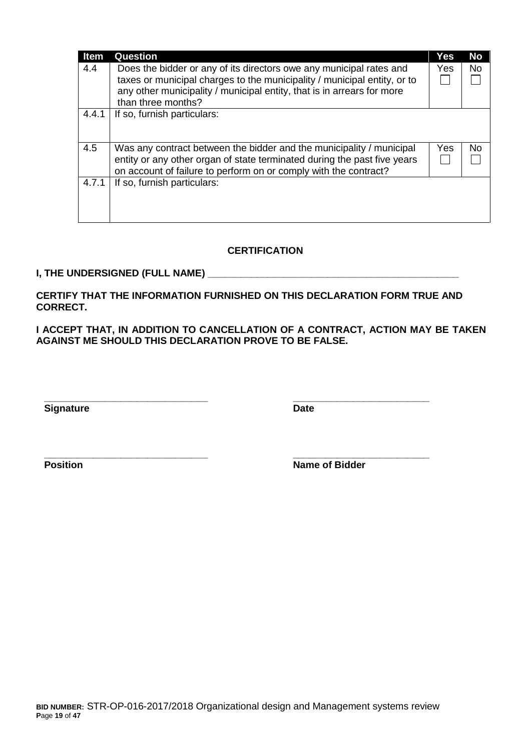| <b>Item</b> | <b>Question</b>                                                                                                                                                                                                           | Yes | <b>No</b> |
|-------------|---------------------------------------------------------------------------------------------------------------------------------------------------------------------------------------------------------------------------|-----|-----------|
| 4.4         | Does the bidder or any of its directors owe any municipal rates and<br>taxes or municipal charges to the municipality / municipal entity, or to<br>any other municipality / municipal entity, that is in arrears for more | Yes | No.       |
|             | than three months?                                                                                                                                                                                                        |     |           |
| 4.4.1       | If so, furnish particulars:                                                                                                                                                                                               |     |           |
| 4.5         | Was any contract between the bidder and the municipality / municipal<br>entity or any other organ of state terminated during the past five years<br>on account of failure to perform on or comply with the contract?      | Yes | No.       |
| 4.7.1       | If so, furnish particulars:                                                                                                                                                                                               |     |           |

#### **CERTIFICATION**

#### **I, THE UNDERSIGNED (FULL NAME) \_\_\_\_\_\_\_\_\_\_\_\_\_\_\_\_\_\_\_\_\_\_\_\_\_\_\_\_\_\_\_\_\_\_\_\_\_\_\_\_\_\_\_\_\_\_**

**CERTIFY THAT THE INFORMATION FURNISHED ON THIS DECLARATION FORM TRUE AND CORRECT.**

**\_\_\_\_\_\_\_\_\_\_\_\_\_\_\_\_\_\_\_\_\_\_\_\_\_\_\_\_\_\_ \_\_\_\_\_\_\_\_\_\_\_\_\_\_\_\_\_\_\_\_\_\_\_\_\_**

**I ACCEPT THAT, IN ADDITION TO CANCELLATION OF A CONTRACT, ACTION MAY BE TAKEN AGAINST ME SHOULD THIS DECLARATION PROVE TO BE FALSE.**

**Signature Date** 

**\_\_\_\_\_\_\_\_\_\_\_\_\_\_\_\_\_\_\_\_\_\_\_\_\_\_\_\_\_\_ \_\_\_\_\_\_\_\_\_\_\_\_\_\_\_\_\_\_\_\_\_\_\_\_\_ Position Name of Bidder**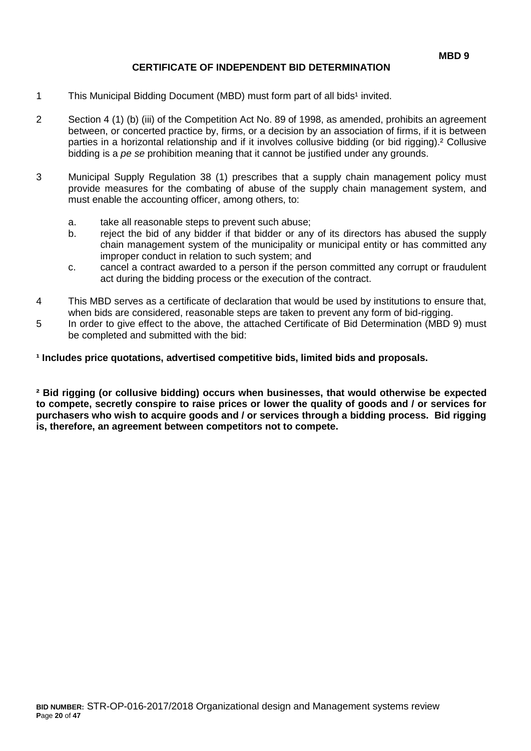#### **CERTIFICATE OF INDEPENDENT BID DETERMINATION**

- 1 This Municipal Bidding Document (MBD) must form part of all bids<sup>1</sup> invited.
- 2 Section 4 (1) (b) (iii) of the Competition Act No. 89 of 1998, as amended, prohibits an agreement between, or concerted practice by, firms, or a decision by an association of firms, if it is between parties in a horizontal relationship and if it involves collusive bidding (or bid rigging).² Collusive bidding is a *pe se* prohibition meaning that it cannot be justified under any grounds.
- 3 Municipal Supply Regulation 38 (1) prescribes that a supply chain management policy must provide measures for the combating of abuse of the supply chain management system, and must enable the accounting officer, among others, to:
	- a. take all reasonable steps to prevent such abuse;
	- b. reject the bid of any bidder if that bidder or any of its directors has abused the supply chain management system of the municipality or municipal entity or has committed any improper conduct in relation to such system; and
	- c. cancel a contract awarded to a person if the person committed any corrupt or fraudulent act during the bidding process or the execution of the contract.
- 4 This MBD serves as a certificate of declaration that would be used by institutions to ensure that, when bids are considered, reasonable steps are taken to prevent any form of bid-rigging.
- 5 In order to give effect to the above, the attached Certificate of Bid Determination (MBD 9) must be completed and submitted with the bid:

**¹ Includes price quotations, advertised competitive bids, limited bids and proposals.**

**² Bid rigging (or collusive bidding) occurs when businesses, that would otherwise be expected to compete, secretly conspire to raise prices or lower the quality of goods and / or services for purchasers who wish to acquire goods and / or services through a bidding process. Bid rigging is, therefore, an agreement between competitors not to compete.**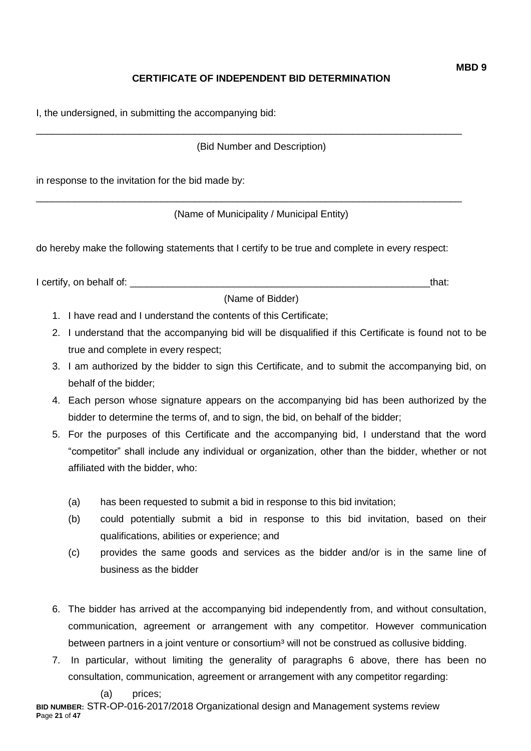# **CERTIFICATE OF INDEPENDENT BID DETERMINATION**

I, the undersigned, in submitting the accompanying bid:

(Bid Number and Description)

\_\_\_\_\_\_\_\_\_\_\_\_\_\_\_\_\_\_\_\_\_\_\_\_\_\_\_\_\_\_\_\_\_\_\_\_\_\_\_\_\_\_\_\_\_\_\_\_\_\_\_\_\_\_\_\_\_\_\_\_\_\_\_\_\_\_\_\_\_\_\_\_\_\_\_\_\_\_

\_\_\_\_\_\_\_\_\_\_\_\_\_\_\_\_\_\_\_\_\_\_\_\_\_\_\_\_\_\_\_\_\_\_\_\_\_\_\_\_\_\_\_\_\_\_\_\_\_\_\_\_\_\_\_\_\_\_\_\_\_\_\_\_\_\_\_\_\_\_\_\_\_\_\_\_\_\_

in response to the invitation for the bid made by:

(Name of Municipality / Municipal Entity)

do hereby make the following statements that I certify to be true and complete in every respect:

I certify, on behalf of: the state of the state of the state of the state of the state of the state of the state of the state of the state of the state of the state of the state of the state of the state of the state of th

(Name of Bidder)

- 1. I have read and I understand the contents of this Certificate;
- 2. I understand that the accompanying bid will be disqualified if this Certificate is found not to be true and complete in every respect;
- 3. I am authorized by the bidder to sign this Certificate, and to submit the accompanying bid, on behalf of the bidder;
- 4. Each person whose signature appears on the accompanying bid has been authorized by the bidder to determine the terms of, and to sign, the bid, on behalf of the bidder;
- 5. For the purposes of this Certificate and the accompanying bid, I understand that the word "competitor" shall include any individual or organization, other than the bidder, whether or not affiliated with the bidder, who:
	- (a) has been requested to submit a bid in response to this bid invitation;
	- (b) could potentially submit a bid in response to this bid invitation, based on their qualifications, abilities or experience; and
	- (c) provides the same goods and services as the bidder and/or is in the same line of business as the bidder
- 6. The bidder has arrived at the accompanying bid independently from, and without consultation, communication, agreement or arrangement with any competitor. However communication between partners in a joint venture or consortium<sup>3</sup> will not be construed as collusive bidding.
- 7. In particular, without limiting the generality of paragraphs 6 above, there has been no consultation, communication, agreement or arrangement with any competitor regarding:

**BID NUMBER:** STR-OP-016-2017/2018 Organizational design and Management systems review **P**age **21** of **47**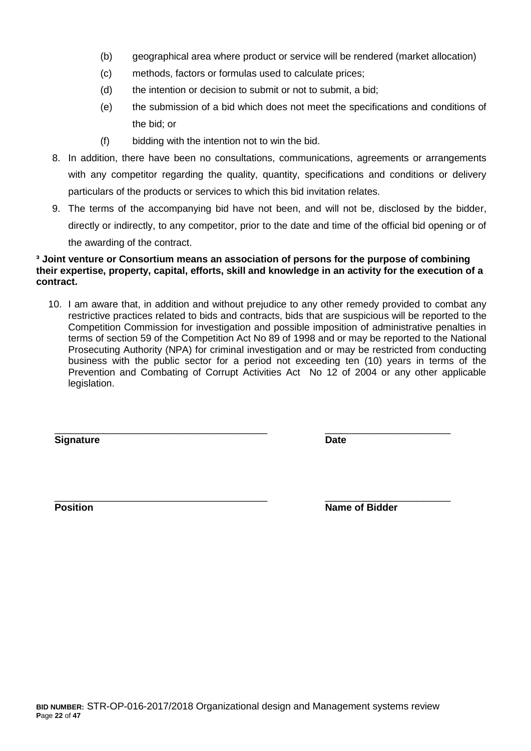- (b) geographical area where product or service will be rendered (market allocation)
- (c) methods, factors or formulas used to calculate prices;
- (d) the intention or decision to submit or not to submit, a bid;
- (e) the submission of a bid which does not meet the specifications and conditions of the bid; or
- (f) bidding with the intention not to win the bid.
- 8. In addition, there have been no consultations, communications, agreements or arrangements with any competitor regarding the quality, quantity, specifications and conditions or delivery particulars of the products or services to which this bid invitation relates.
- 9. The terms of the accompanying bid have not been, and will not be, disclosed by the bidder, directly or indirectly, to any competitor, prior to the date and time of the official bid opening or of the awarding of the contract.

#### **³ Joint venture or Consortium means an association of persons for the purpose of combining their expertise, property, capital, efforts, skill and knowledge in an activity for the execution of a contract.**

10. I am aware that, in addition and without prejudice to any other remedy provided to combat any restrictive practices related to bids and contracts, bids that are suspicious will be reported to the Competition Commission for investigation and possible imposition of administrative penalties in terms of section 59 of the Competition Act No 89 of 1998 and or may be reported to the National Prosecuting Authority (NPA) for criminal investigation and or may be restricted from conducting business with the public sector for a period not exceeding ten (10) years in terms of the Prevention and Combating of Corrupt Activities Act No 12 of 2004 or any other applicable legislation.

\_\_\_\_\_\_\_\_\_\_\_\_\_\_\_\_\_\_\_\_\_\_\_\_\_\_\_\_\_\_\_\_\_\_\_\_\_\_\_ \_\_\_\_\_\_\_\_\_\_\_\_\_\_\_\_\_\_\_\_\_\_\_

**Signature Date**

\_\_\_\_\_\_\_\_\_\_\_\_\_\_\_\_\_\_\_\_\_\_\_\_\_\_\_\_\_\_\_\_\_\_\_\_\_\_\_ \_\_\_\_\_\_\_\_\_\_\_\_\_\_\_\_\_\_\_\_\_\_\_ **Position Position Name of Bidder**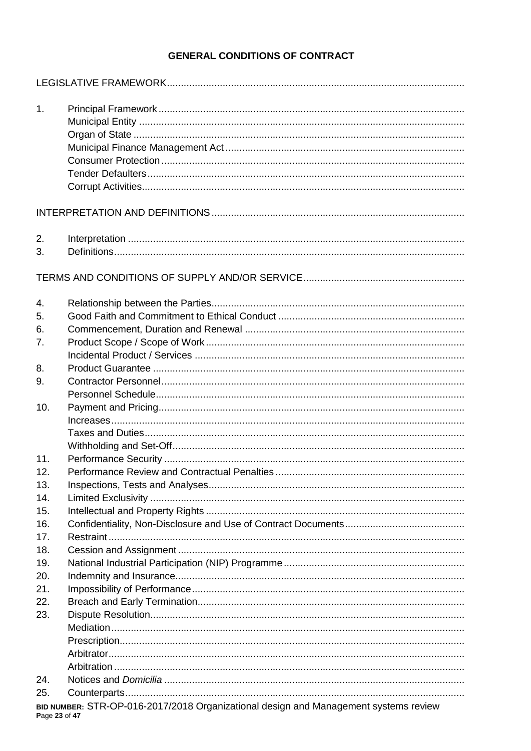# **GENERAL CONDITIONS OF CONTRACT**

| 1.             |                                                                                      |
|----------------|--------------------------------------------------------------------------------------|
|                |                                                                                      |
| 2.<br>3.       |                                                                                      |
| 4.             |                                                                                      |
| 5.             |                                                                                      |
| 6.             |                                                                                      |
| 7 <sub>1</sub> |                                                                                      |
|                |                                                                                      |
| 8.             |                                                                                      |
| 9.             |                                                                                      |
| 10.            |                                                                                      |
|                |                                                                                      |
|                |                                                                                      |
|                |                                                                                      |
| 11.            |                                                                                      |
| 12.            |                                                                                      |
| 13.            |                                                                                      |
| 14.            |                                                                                      |
| 15.            |                                                                                      |
| 16.            |                                                                                      |
| 17.            |                                                                                      |
| 18.            |                                                                                      |
| 19.            |                                                                                      |
| 20.            |                                                                                      |
| 21.            |                                                                                      |
| 22.            |                                                                                      |
| 23.            |                                                                                      |
|                |                                                                                      |
|                |                                                                                      |
|                |                                                                                      |
|                |                                                                                      |
| 24.            |                                                                                      |
| 25.            |                                                                                      |
| Page 23 of 47  | BID NUMBER: STR-OP-016-2017/2018 Organizational design and Management systems review |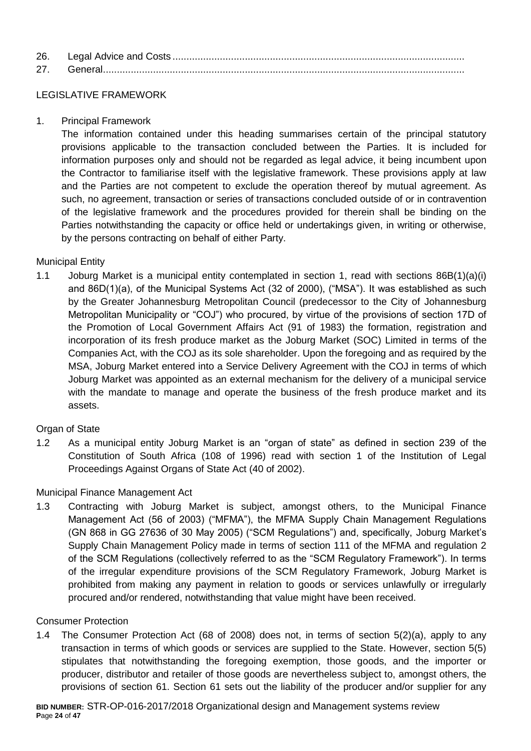| 26. |  |
|-----|--|
| 27  |  |

#### LEGISLATIVE FRAMEWORK

1. Principal Framework

The information contained under this heading summarises certain of the principal statutory provisions applicable to the transaction concluded between the Parties. It is included for information purposes only and should not be regarded as legal advice, it being incumbent upon the Contractor to familiarise itself with the legislative framework. These provisions apply at law and the Parties are not competent to exclude the operation thereof by mutual agreement. As such, no agreement, transaction or series of transactions concluded outside of or in contravention of the legislative framework and the procedures provided for therein shall be binding on the Parties notwithstanding the capacity or office held or undertakings given, in writing or otherwise, by the persons contracting on behalf of either Party.

## Municipal Entity

1.1 Joburg Market is a municipal entity contemplated in section 1, read with sections 86B(1)(a)(i) and 86D(1)(a), of the Municipal Systems Act (32 of 2000), ("MSA"). It was established as such by the Greater Johannesburg Metropolitan Council (predecessor to the City of Johannesburg Metropolitan Municipality or "COJ") who procured, by virtue of the provisions of section 17D of the Promotion of Local Government Affairs Act (91 of 1983) the formation, registration and incorporation of its fresh produce market as the Joburg Market (SOC) Limited in terms of the Companies Act, with the COJ as its sole shareholder. Upon the foregoing and as required by the MSA, Joburg Market entered into a Service Delivery Agreement with the COJ in terms of which Joburg Market was appointed as an external mechanism for the delivery of a municipal service with the mandate to manage and operate the business of the fresh produce market and its assets.

## Organ of State

1.2 As a municipal entity Joburg Market is an "organ of state" as defined in section 239 of the Constitution of South Africa (108 of 1996) read with section 1 of the Institution of Legal Proceedings Against Organs of State Act (40 of 2002).

## Municipal Finance Management Act

1.3 Contracting with Joburg Market is subject, amongst others, to the Municipal Finance Management Act (56 of 2003) ("MFMA"), the MFMA Supply Chain Management Regulations (GN 868 in GG 27636 of 30 May 2005) ("SCM Regulations") and, specifically, Joburg Market's Supply Chain Management Policy made in terms of section 111 of the MFMA and regulation 2 of the SCM Regulations (collectively referred to as the "SCM Regulatory Framework"). In terms of the irregular expenditure provisions of the SCM Regulatory Framework, Joburg Market is prohibited from making any payment in relation to goods or services unlawfully or irregularly procured and/or rendered, notwithstanding that value might have been received.

#### Consumer Protection

1.4 The Consumer Protection Act (68 of 2008) does not, in terms of section 5(2)(a), apply to any transaction in terms of which goods or services are supplied to the State. However, section 5(5) stipulates that notwithstanding the foregoing exemption, those goods, and the importer or producer, distributor and retailer of those goods are nevertheless subject to, amongst others, the provisions of section 61. Section 61 sets out the liability of the producer and/or supplier for any

**BID NUMBER:** STR-OP-016-2017/2018 Organizational design and Management systems review **P**age **24** of **47**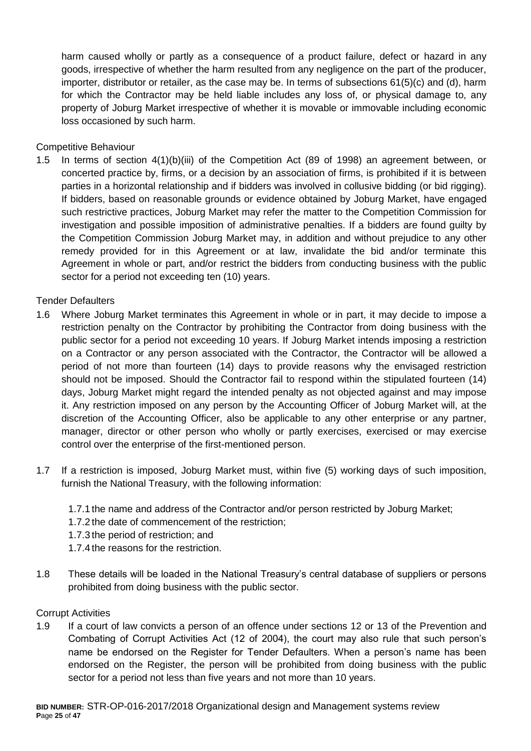harm caused wholly or partly as a consequence of a product failure, defect or hazard in any goods, irrespective of whether the harm resulted from any negligence on the part of the producer, importer, distributor or retailer, as the case may be. In terms of subsections 61(5)(c) and (d), harm for which the Contractor may be held liable includes any loss of, or physical damage to, any property of Joburg Market irrespective of whether it is movable or immovable including economic loss occasioned by such harm.

Competitive Behaviour

1.5 In terms of section 4(1)(b)(iii) of the Competition Act (89 of 1998) an agreement between, or concerted practice by, firms, or a decision by an association of firms, is prohibited if it is between parties in a horizontal relationship and if bidders was involved in collusive bidding (or bid rigging). If bidders, based on reasonable grounds or evidence obtained by Joburg Market, have engaged such restrictive practices, Joburg Market may refer the matter to the Competition Commission for investigation and possible imposition of administrative penalties. If a bidders are found guilty by the Competition Commission Joburg Market may, in addition and without prejudice to any other remedy provided for in this Agreement or at law, invalidate the bid and/or terminate this Agreement in whole or part, and/or restrict the bidders from conducting business with the public sector for a period not exceeding ten (10) years.

Tender Defaulters

- 1.6 Where Joburg Market terminates this Agreement in whole or in part, it may decide to impose a restriction penalty on the Contractor by prohibiting the Contractor from doing business with the public sector for a period not exceeding 10 years. If Joburg Market intends imposing a restriction on a Contractor or any person associated with the Contractor, the Contractor will be allowed a period of not more than fourteen (14) days to provide reasons why the envisaged restriction should not be imposed. Should the Contractor fail to respond within the stipulated fourteen (14) days, Joburg Market might regard the intended penalty as not objected against and may impose it. Any restriction imposed on any person by the Accounting Officer of Joburg Market will, at the discretion of the Accounting Officer, also be applicable to any other enterprise or any partner, manager, director or other person who wholly or partly exercises, exercised or may exercise control over the enterprise of the first-mentioned person.
- 1.7 If a restriction is imposed, Joburg Market must, within five (5) working days of such imposition, furnish the National Treasury, with the following information:
	- 1.7.1 the name and address of the Contractor and/or person restricted by Joburg Market;
	- 1.7.2 the date of commencement of the restriction;
	- 1.7.3 the period of restriction; and
	- 1.7.4 the reasons for the restriction.
- 1.8 These details will be loaded in the National Treasury's central database of suppliers or persons prohibited from doing business with the public sector.

#### Corrupt Activities

1.9 If a court of law convicts a person of an offence under sections 12 or 13 of the Prevention and Combating of Corrupt Activities Act (12 of 2004), the court may also rule that such person's name be endorsed on the Register for Tender Defaulters. When a person's name has been endorsed on the Register, the person will be prohibited from doing business with the public sector for a period not less than five years and not more than 10 years.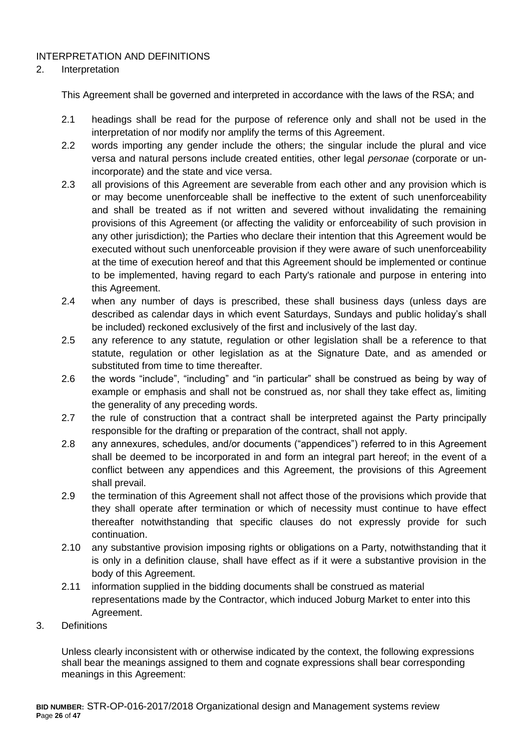# INTERPRETATION AND DEFINITIONS

#### 2. Interpretation

This Agreement shall be governed and interpreted in accordance with the laws of the RSA; and

- 2.1 headings shall be read for the purpose of reference only and shall not be used in the interpretation of nor modify nor amplify the terms of this Agreement.
- 2.2 words importing any gender include the others; the singular include the plural and vice versa and natural persons include created entities, other legal *personae* (corporate or unincorporate) and the state and vice versa.
- 2.3 all provisions of this Agreement are severable from each other and any provision which is or may become unenforceable shall be ineffective to the extent of such unenforceability and shall be treated as if not written and severed without invalidating the remaining provisions of this Agreement (or affecting the validity or enforceability of such provision in any other jurisdiction); the Parties who declare their intention that this Agreement would be executed without such unenforceable provision if they were aware of such unenforceability at the time of execution hereof and that this Agreement should be implemented or continue to be implemented, having regard to each Party's rationale and purpose in entering into this Agreement.
- 2.4 when any number of days is prescribed, these shall business days (unless days are described as calendar days in which event Saturdays, Sundays and public holiday's shall be included) reckoned exclusively of the first and inclusively of the last day.
- 2.5 any reference to any statute, regulation or other legislation shall be a reference to that statute, regulation or other legislation as at the Signature Date, and as amended or substituted from time to time thereafter.
- 2.6 the words "include", "including" and "in particular" shall be construed as being by way of example or emphasis and shall not be construed as, nor shall they take effect as, limiting the generality of any preceding words.
- 2.7 the rule of construction that a contract shall be interpreted against the Party principally responsible for the drafting or preparation of the contract, shall not apply.
- 2.8 any annexures, schedules, and/or documents ("appendices") referred to in this Agreement shall be deemed to be incorporated in and form an integral part hereof; in the event of a conflict between any appendices and this Agreement, the provisions of this Agreement shall prevail.
- 2.9 the termination of this Agreement shall not affect those of the provisions which provide that they shall operate after termination or which of necessity must continue to have effect thereafter notwithstanding that specific clauses do not expressly provide for such continuation.
- 2.10 any substantive provision imposing rights or obligations on a Party, notwithstanding that it is only in a definition clause, shall have effect as if it were a substantive provision in the body of this Agreement.
- 2.11 information supplied in the bidding documents shall be construed as material representations made by the Contractor, which induced Joburg Market to enter into this Agreement.
- 3. Definitions

Unless clearly inconsistent with or otherwise indicated by the context, the following expressions shall bear the meanings assigned to them and cognate expressions shall bear corresponding meanings in this Agreement: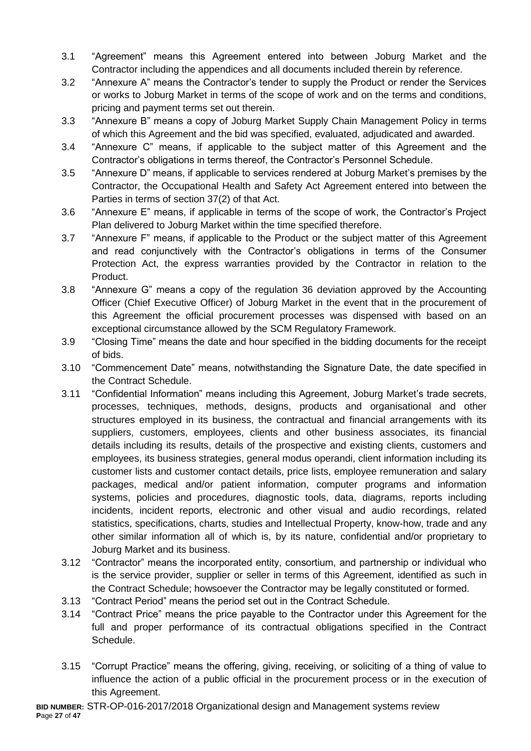- 3.1 "Agreement" means this Agreement entered into between Joburg Market and the Contractor including the appendices and all documents included therein by reference.
- 3.2 "Annexure A" means the Contractor's tender to supply the Product or render the Services or works to Joburg Market in terms of the scope of work and on the terms and conditions, pricing and payment terms set out therein.
- 3.3 "Annexure B" means a copy of Joburg Market Supply Chain Management Policy in terms of which this Agreement and the bid was specified, evaluated, adjudicated and awarded.
- 3.4 "Annexure C" means, if applicable to the subject matter of this Agreement and the Contractor's obligations in terms thereof, the Contractor's Personnel Schedule.
- 3.5 "Annexure D" means, if applicable to services rendered at Joburg Market's premises by the Contractor, the Occupational Health and Safety Act Agreement entered into between the Parties in terms of section 37(2) of that Act.
- 3.6 "Annexure E" means, if applicable in terms of the scope of work, the Contractor's Project Plan delivered to Joburg Market within the time specified therefore.
- 3.7 "Annexure F" means, if applicable to the Product or the subject matter of this Agreement and read conjunctively with the Contractor's obligations in terms of the Consumer Protection Act, the express warranties provided by the Contractor in relation to the Product.
- 3.8 "Annexure G" means a copy of the regulation 36 deviation approved by the Accounting Officer (Chief Executive Officer) of Joburg Market in the event that in the procurement of this Agreement the official procurement processes was dispensed with based on an exceptional circumstance allowed by the SCM Regulatory Framework.
- 3.9 "Closing Time" means the date and hour specified in the bidding documents for the receipt of bids.
- 3.10 "Commencement Date" means, notwithstanding the Signature Date, the date specified in the Contract Schedule.
- 3.11 "Confidential Information" means including this Agreement, Joburg Market's trade secrets, processes, techniques, methods, designs, products and organisational and other structures employed in its business, the contractual and financial arrangements with its suppliers, customers, employees, clients and other business associates, its financial details including its results, details of the prospective and existing clients, customers and employees, its business strategies, general modus operandi, client information including its customer lists and customer contact details, price lists, employee remuneration and salary packages, medical and/or patient information, computer programs and information systems, policies and procedures, diagnostic tools, data, diagrams, reports including incidents, incident reports, electronic and other visual and audio recordings, related statistics, specifications, charts, studies and Intellectual Property, know-how, trade and any other similar information all of which is, by its nature, confidential and/or proprietary to Joburg Market and its business.
- 3.12 "Contractor" means the incorporated entity, consortium, and partnership or individual who is the service provider, supplier or seller in terms of this Agreement, identified as such in the Contract Schedule; howsoever the Contractor may be legally constituted or formed.
- 3.13 "Contract Period" means the period set out in the Contract Schedule.
- 3.14 "Contract Price" means the price payable to the Contractor under this Agreement for the full and proper performance of its contractual obligations specified in the Contract Schedule.
- 3.15 "Corrupt Practice" means the offering, giving, receiving, or soliciting of a thing of value to influence the action of a public official in the procurement process or in the execution of this Agreement.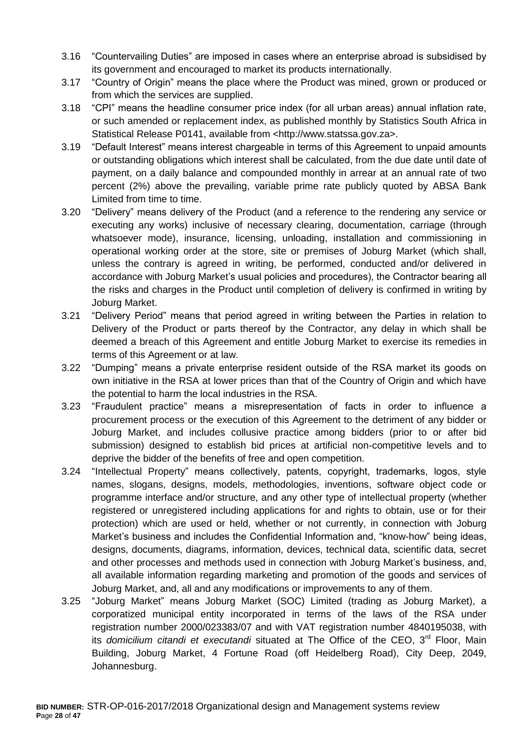- 3.16 "Countervailing Duties" are imposed in cases where an enterprise abroad is subsidised by its government and encouraged to market its products internationally.
- 3.17 "Country of Origin" means the place where the Product was mined, grown or produced or from which the services are supplied.
- 3.18 "CPI" means the headline consumer price index (for all urban areas) annual inflation rate, or such amended or replacement index, as published monthly by Statistics South Africa in Statistical Release P0141, available from <http://www.statssa.gov.za>.
- 3.19 "Default Interest" means interest chargeable in terms of this Agreement to unpaid amounts or outstanding obligations which interest shall be calculated, from the due date until date of payment, on a daily balance and compounded monthly in arrear at an annual rate of two percent (2%) above the prevailing, variable prime rate publicly quoted by ABSA Bank Limited from time to time.
- 3.20 "Delivery" means delivery of the Product (and a reference to the rendering any service or executing any works) inclusive of necessary clearing, documentation, carriage (through whatsoever mode), insurance, licensing, unloading, installation and commissioning in operational working order at the store, site or premises of Joburg Market (which shall, unless the contrary is agreed in writing, be performed, conducted and/or delivered in accordance with Joburg Market's usual policies and procedures), the Contractor bearing all the risks and charges in the Product until completion of delivery is confirmed in writing by Joburg Market.
- 3.21 "Delivery Period" means that period agreed in writing between the Parties in relation to Delivery of the Product or parts thereof by the Contractor, any delay in which shall be deemed a breach of this Agreement and entitle Joburg Market to exercise its remedies in terms of this Agreement or at law.
- 3.22 "Dumping" means a private enterprise resident outside of the RSA market its goods on own initiative in the RSA at lower prices than that of the Country of Origin and which have the potential to harm the local industries in the RSA.
- 3.23 "Fraudulent practice" means a misrepresentation of facts in order to influence a procurement process or the execution of this Agreement to the detriment of any bidder or Joburg Market, and includes collusive practice among bidders (prior to or after bid submission) designed to establish bid prices at artificial non-competitive levels and to deprive the bidder of the benefits of free and open competition.
- 3.24 "Intellectual Property" means collectively, patents, copyright, trademarks, logos, style names, slogans, designs, models, methodologies, inventions, software object code or programme interface and/or structure, and any other type of intellectual property (whether registered or unregistered including applications for and rights to obtain, use or for their protection) which are used or held, whether or not currently, in connection with Joburg Market's business and includes the Confidential Information and, "know-how" being ideas, designs, documents, diagrams, information, devices, technical data, scientific data, secret and other processes and methods used in connection with Joburg Market's business, and, all available information regarding marketing and promotion of the goods and services of Joburg Market, and, all and any modifications or improvements to any of them.
- 3.25 "Joburg Market" means Joburg Market (SOC) Limited (trading as Joburg Market), a corporatized municipal entity incorporated in terms of the laws of the RSA under registration number 2000/023383/07 and with VAT registration number 4840195038, with its *domicilium citandi et executandi* situated at The Office of the CEO, 3<sup>rd</sup> Floor, Main Building, Joburg Market, 4 Fortune Road (off Heidelberg Road), City Deep, 2049, Johannesburg.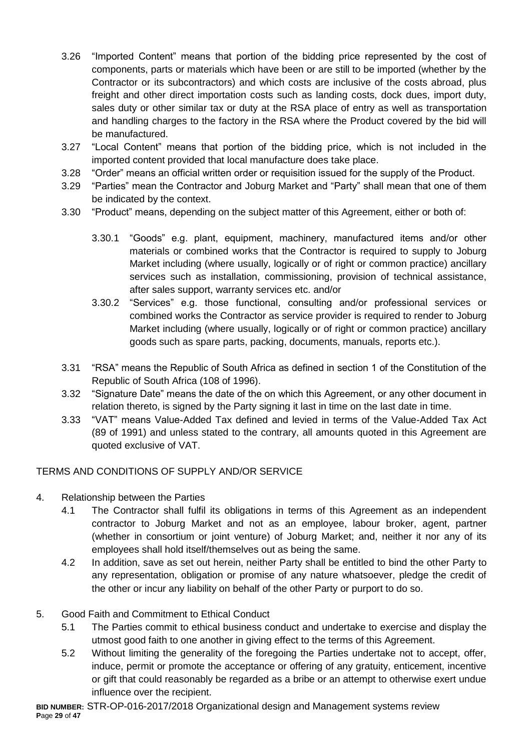- 3.26 "Imported Content" means that portion of the bidding price represented by the cost of components, parts or materials which have been or are still to be imported (whether by the Contractor or its subcontractors) and which costs are inclusive of the costs abroad, plus freight and other direct importation costs such as landing costs, dock dues, import duty, sales duty or other similar tax or duty at the RSA place of entry as well as transportation and handling charges to the factory in the RSA where the Product covered by the bid will be manufactured.
- 3.27 "Local Content" means that portion of the bidding price, which is not included in the imported content provided that local manufacture does take place.
- 3.28 "Order" means an official written order or requisition issued for the supply of the Product.
- 3.29 "Parties" mean the Contractor and Joburg Market and "Party" shall mean that one of them be indicated by the context.
- 3.30 "Product" means, depending on the subject matter of this Agreement, either or both of:
	- 3.30.1 "Goods" e.g. plant, equipment, machinery, manufactured items and/or other materials or combined works that the Contractor is required to supply to Joburg Market including (where usually, logically or of right or common practice) ancillary services such as installation, commissioning, provision of technical assistance, after sales support, warranty services etc. and/or
	- 3.30.2 "Services" e.g. those functional, consulting and/or professional services or combined works the Contractor as service provider is required to render to Joburg Market including (where usually, logically or of right or common practice) ancillary goods such as spare parts, packing, documents, manuals, reports etc.).
- 3.31 "RSA" means the Republic of South Africa as defined in section 1 of the Constitution of the Republic of South Africa (108 of 1996).
- 3.32 "Signature Date" means the date of the on which this Agreement, or any other document in relation thereto, is signed by the Party signing it last in time on the last date in time.
- 3.33 "VAT" means Value-Added Tax defined and levied in terms of the Value-Added Tax Act (89 of 1991) and unless stated to the contrary, all amounts quoted in this Agreement are quoted exclusive of VAT.

## TERMS AND CONDITIONS OF SUPPLY AND/OR SERVICE

- 4. Relationship between the Parties
	- 4.1 The Contractor shall fulfil its obligations in terms of this Agreement as an independent contractor to Joburg Market and not as an employee, labour broker, agent, partner (whether in consortium or joint venture) of Joburg Market; and, neither it nor any of its employees shall hold itself/themselves out as being the same.
	- 4.2 In addition, save as set out herein, neither Party shall be entitled to bind the other Party to any representation, obligation or promise of any nature whatsoever, pledge the credit of the other or incur any liability on behalf of the other Party or purport to do so.

## 5. Good Faith and Commitment to Ethical Conduct

- 5.1 The Parties commit to ethical business conduct and undertake to exercise and display the utmost good faith to one another in giving effect to the terms of this Agreement.
- 5.2 Without limiting the generality of the foregoing the Parties undertake not to accept, offer, induce, permit or promote the acceptance or offering of any gratuity, enticement, incentive or gift that could reasonably be regarded as a bribe or an attempt to otherwise exert undue influence over the recipient.

**BID NUMBER:** STR-OP-016-2017/2018 Organizational design and Management systems review **P**age **29** of **47**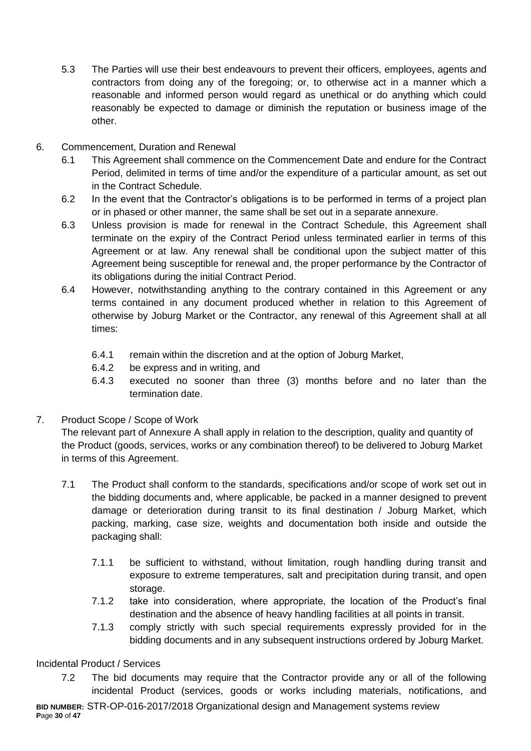- 5.3 The Parties will use their best endeavours to prevent their officers, employees, agents and contractors from doing any of the foregoing; or, to otherwise act in a manner which a reasonable and informed person would regard as unethical or do anything which could reasonably be expected to damage or diminish the reputation or business image of the other.
- 6. Commencement, Duration and Renewal
	- 6.1 This Agreement shall commence on the Commencement Date and endure for the Contract Period, delimited in terms of time and/or the expenditure of a particular amount, as set out in the Contract Schedule.
	- 6.2 In the event that the Contractor's obligations is to be performed in terms of a project plan or in phased or other manner, the same shall be set out in a separate annexure.
	- 6.3 Unless provision is made for renewal in the Contract Schedule, this Agreement shall terminate on the expiry of the Contract Period unless terminated earlier in terms of this Agreement or at law. Any renewal shall be conditional upon the subject matter of this Agreement being susceptible for renewal and, the proper performance by the Contractor of its obligations during the initial Contract Period.
	- 6.4 However, notwithstanding anything to the contrary contained in this Agreement or any terms contained in any document produced whether in relation to this Agreement of otherwise by Joburg Market or the Contractor, any renewal of this Agreement shall at all times:
		- 6.4.1 remain within the discretion and at the option of Joburg Market,
		- 6.4.2 be express and in writing, and
		- 6.4.3 executed no sooner than three (3) months before and no later than the termination date.
- 7. Product Scope / Scope of Work

The relevant part of Annexure A shall apply in relation to the description, quality and quantity of the Product (goods, services, works or any combination thereof) to be delivered to Joburg Market in terms of this Agreement.

- 7.1 The Product shall conform to the standards, specifications and/or scope of work set out in the bidding documents and, where applicable, be packed in a manner designed to prevent damage or deterioration during transit to its final destination / Joburg Market, which packing, marking, case size, weights and documentation both inside and outside the packaging shall:
	- 7.1.1 be sufficient to withstand, without limitation, rough handling during transit and exposure to extreme temperatures, salt and precipitation during transit, and open storage.
	- 7.1.2 take into consideration, where appropriate, the location of the Product's final destination and the absence of heavy handling facilities at all points in transit.
	- 7.1.3 comply strictly with such special requirements expressly provided for in the bidding documents and in any subsequent instructions ordered by Joburg Market.

## Incidental Product / Services

**BID NUMBER:** STR-OP-016-2017/2018 Organizational design and Management systems review 7.2 The bid documents may require that the Contractor provide any or all of the following incidental Product (services, goods or works including materials, notifications, and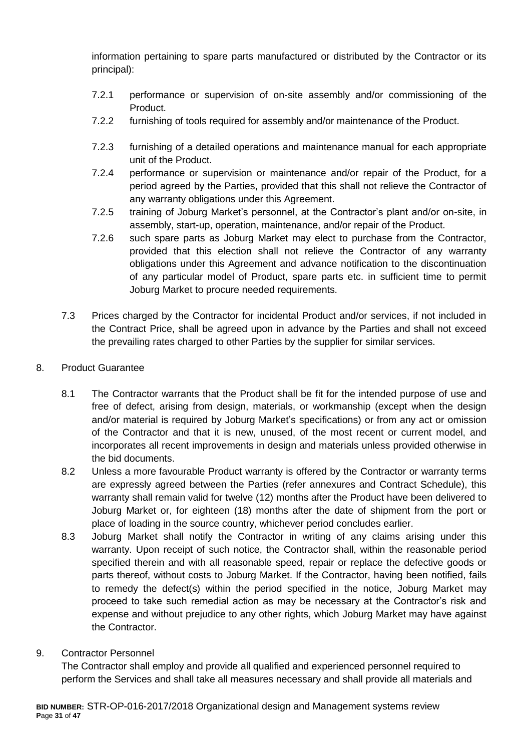information pertaining to spare parts manufactured or distributed by the Contractor or its principal):

- 7.2.1 performance or supervision of on-site assembly and/or commissioning of the Product.
- 7.2.2 furnishing of tools required for assembly and/or maintenance of the Product.
- 7.2.3 furnishing of a detailed operations and maintenance manual for each appropriate unit of the Product.
- 7.2.4 performance or supervision or maintenance and/or repair of the Product, for a period agreed by the Parties, provided that this shall not relieve the Contractor of any warranty obligations under this Agreement.
- 7.2.5 training of Joburg Market's personnel, at the Contractor's plant and/or on-site, in assembly, start-up, operation, maintenance, and/or repair of the Product.
- 7.2.6 such spare parts as Joburg Market may elect to purchase from the Contractor, provided that this election shall not relieve the Contractor of any warranty obligations under this Agreement and advance notification to the discontinuation of any particular model of Product, spare parts etc. in sufficient time to permit Joburg Market to procure needed requirements.
- 7.3 Prices charged by the Contractor for incidental Product and/or services, if not included in the Contract Price, shall be agreed upon in advance by the Parties and shall not exceed the prevailing rates charged to other Parties by the supplier for similar services.
- 8. Product Guarantee
	- 8.1 The Contractor warrants that the Product shall be fit for the intended purpose of use and free of defect, arising from design, materials, or workmanship (except when the design and/or material is required by Joburg Market's specifications) or from any act or omission of the Contractor and that it is new, unused, of the most recent or current model, and incorporates all recent improvements in design and materials unless provided otherwise in the bid documents.
	- 8.2 Unless a more favourable Product warranty is offered by the Contractor or warranty terms are expressly agreed between the Parties (refer annexures and Contract Schedule), this warranty shall remain valid for twelve (12) months after the Product have been delivered to Joburg Market or, for eighteen (18) months after the date of shipment from the port or place of loading in the source country, whichever period concludes earlier.
	- 8.3 Joburg Market shall notify the Contractor in writing of any claims arising under this warranty. Upon receipt of such notice, the Contractor shall, within the reasonable period specified therein and with all reasonable speed, repair or replace the defective goods or parts thereof, without costs to Joburg Market. If the Contractor, having been notified, fails to remedy the defect(s) within the period specified in the notice, Joburg Market may proceed to take such remedial action as may be necessary at the Contractor's risk and expense and without prejudice to any other rights, which Joburg Market may have against the Contractor.
- 9. Contractor Personnel

The Contractor shall employ and provide all qualified and experienced personnel required to perform the Services and shall take all measures necessary and shall provide all materials and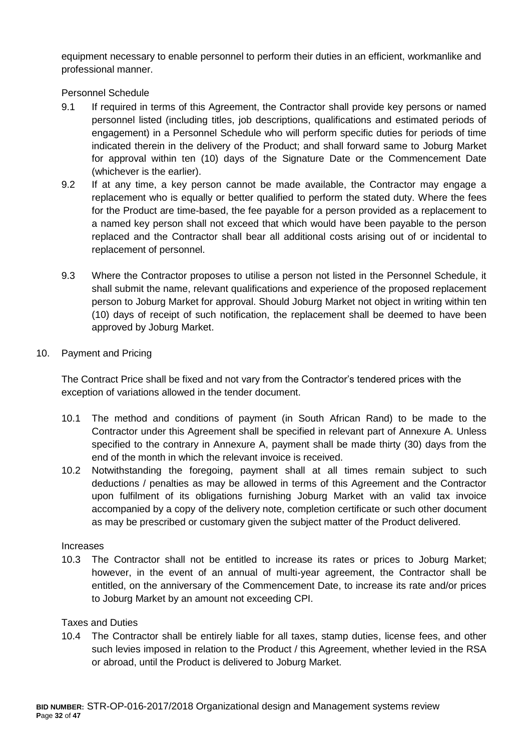equipment necessary to enable personnel to perform their duties in an efficient, workmanlike and professional manner.

Personnel Schedule

- 9.1 If required in terms of this Agreement, the Contractor shall provide key persons or named personnel listed (including titles, job descriptions, qualifications and estimated periods of engagement) in a Personnel Schedule who will perform specific duties for periods of time indicated therein in the delivery of the Product; and shall forward same to Joburg Market for approval within ten (10) days of the Signature Date or the Commencement Date (whichever is the earlier).
- 9.2 If at any time, a key person cannot be made available, the Contractor may engage a replacement who is equally or better qualified to perform the stated duty. Where the fees for the Product are time-based, the fee payable for a person provided as a replacement to a named key person shall not exceed that which would have been payable to the person replaced and the Contractor shall bear all additional costs arising out of or incidental to replacement of personnel.
- 9.3 Where the Contractor proposes to utilise a person not listed in the Personnel Schedule, it shall submit the name, relevant qualifications and experience of the proposed replacement person to Joburg Market for approval. Should Joburg Market not object in writing within ten (10) days of receipt of such notification, the replacement shall be deemed to have been approved by Joburg Market.
- 10. Payment and Pricing

The Contract Price shall be fixed and not vary from the Contractor's tendered prices with the exception of variations allowed in the tender document.

- 10.1 The method and conditions of payment (in South African Rand) to be made to the Contractor under this Agreement shall be specified in relevant part of Annexure A. Unless specified to the contrary in Annexure A, payment shall be made thirty (30) days from the end of the month in which the relevant invoice is received.
- 10.2 Notwithstanding the foregoing, payment shall at all times remain subject to such deductions / penalties as may be allowed in terms of this Agreement and the Contractor upon fulfilment of its obligations furnishing Joburg Market with an valid tax invoice accompanied by a copy of the delivery note, completion certificate or such other document as may be prescribed or customary given the subject matter of the Product delivered.

#### Increases

10.3 The Contractor shall not be entitled to increase its rates or prices to Joburg Market; however, in the event of an annual of multi-year agreement, the Contractor shall be entitled, on the anniversary of the Commencement Date, to increase its rate and/or prices to Joburg Market by an amount not exceeding CPI.

## Taxes and Duties

10.4 The Contractor shall be entirely liable for all taxes, stamp duties, license fees, and other such levies imposed in relation to the Product / this Agreement, whether levied in the RSA or abroad, until the Product is delivered to Joburg Market.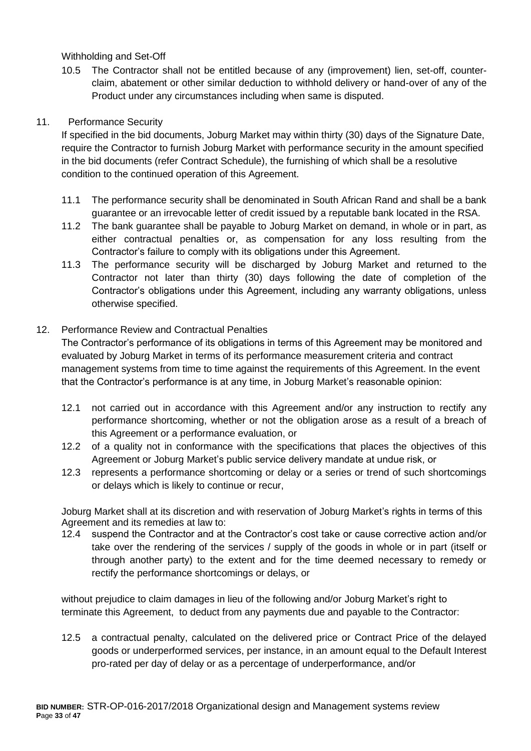Withholding and Set-Off

10.5 The Contractor shall not be entitled because of any (improvement) lien, set-off, counterclaim, abatement or other similar deduction to withhold delivery or hand-over of any of the Product under any circumstances including when same is disputed.

#### 11. Performance Security

If specified in the bid documents, Joburg Market may within thirty (30) days of the Signature Date, require the Contractor to furnish Joburg Market with performance security in the amount specified in the bid documents (refer Contract Schedule), the furnishing of which shall be a resolutive condition to the continued operation of this Agreement.

- 11.1 The performance security shall be denominated in South African Rand and shall be a bank guarantee or an irrevocable letter of credit issued by a reputable bank located in the RSA.
- 11.2 The bank guarantee shall be payable to Joburg Market on demand, in whole or in part, as either contractual penalties or, as compensation for any loss resulting from the Contractor's failure to comply with its obligations under this Agreement.
- 11.3 The performance security will be discharged by Joburg Market and returned to the Contractor not later than thirty (30) days following the date of completion of the Contractor's obligations under this Agreement, including any warranty obligations, unless otherwise specified.

#### 12. Performance Review and Contractual Penalties

The Contractor's performance of its obligations in terms of this Agreement may be monitored and evaluated by Joburg Market in terms of its performance measurement criteria and contract management systems from time to time against the requirements of this Agreement. In the event that the Contractor's performance is at any time, in Joburg Market's reasonable opinion:

- 12.1 not carried out in accordance with this Agreement and/or any instruction to rectify any performance shortcoming, whether or not the obligation arose as a result of a breach of this Agreement or a performance evaluation, or
- 12.2 of a quality not in conformance with the specifications that places the objectives of this Agreement or Joburg Market's public service delivery mandate at undue risk, or
- 12.3 represents a performance shortcoming or delay or a series or trend of such shortcomings or delays which is likely to continue or recur,

Joburg Market shall at its discretion and with reservation of Joburg Market's rights in terms of this Agreement and its remedies at law to:

12.4 suspend the Contractor and at the Contractor's cost take or cause corrective action and/or take over the rendering of the services / supply of the goods in whole or in part (itself or through another party) to the extent and for the time deemed necessary to remedy or rectify the performance shortcomings or delays, or

without prejudice to claim damages in lieu of the following and/or Joburg Market's right to terminate this Agreement, to deduct from any payments due and payable to the Contractor:

12.5 a contractual penalty, calculated on the delivered price or Contract Price of the delayed goods or underperformed services, per instance, in an amount equal to the Default Interest pro-rated per day of delay or as a percentage of underperformance, and/or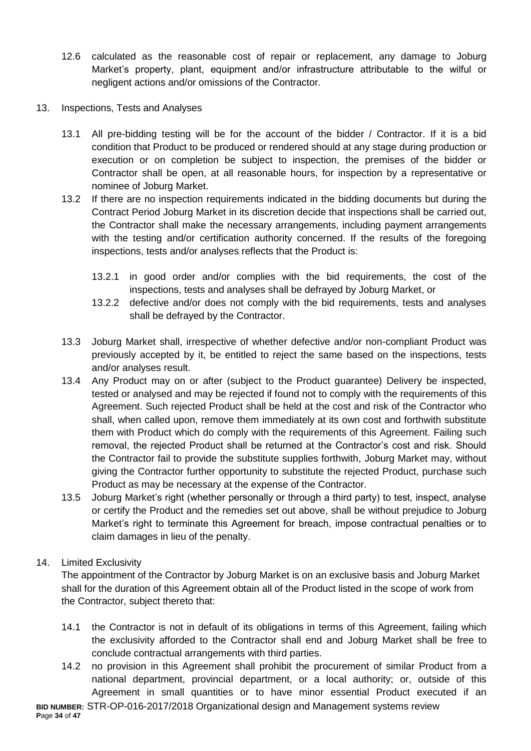- 12.6 calculated as the reasonable cost of repair or replacement, any damage to Joburg Market's property, plant, equipment and/or infrastructure attributable to the wilful or negligent actions and/or omissions of the Contractor.
- 13. Inspections, Tests and Analyses
	- 13.1 All pre-bidding testing will be for the account of the bidder / Contractor. If it is a bid condition that Product to be produced or rendered should at any stage during production or execution or on completion be subject to inspection, the premises of the bidder or Contractor shall be open, at all reasonable hours, for inspection by a representative or nominee of Joburg Market.
	- 13.2 If there are no inspection requirements indicated in the bidding documents but during the Contract Period Joburg Market in its discretion decide that inspections shall be carried out, the Contractor shall make the necessary arrangements, including payment arrangements with the testing and/or certification authority concerned. If the results of the foregoing inspections, tests and/or analyses reflects that the Product is:
		- 13.2.1 in good order and/or complies with the bid requirements, the cost of the inspections, tests and analyses shall be defrayed by Joburg Market, or
		- 13.2.2 defective and/or does not comply with the bid requirements, tests and analyses shall be defrayed by the Contractor.
	- 13.3 Joburg Market shall, irrespective of whether defective and/or non-compliant Product was previously accepted by it, be entitled to reject the same based on the inspections, tests and/or analyses result.
	- 13.4 Any Product may on or after (subject to the Product guarantee) Delivery be inspected, tested or analysed and may be rejected if found not to comply with the requirements of this Agreement. Such rejected Product shall be held at the cost and risk of the Contractor who shall, when called upon, remove them immediately at its own cost and forthwith substitute them with Product which do comply with the requirements of this Agreement. Failing such removal, the rejected Product shall be returned at the Contractor's cost and risk. Should the Contractor fail to provide the substitute supplies forthwith, Joburg Market may, without giving the Contractor further opportunity to substitute the rejected Product, purchase such Product as may be necessary at the expense of the Contractor.
	- 13.5 Joburg Market's right (whether personally or through a third party) to test, inspect, analyse or certify the Product and the remedies set out above, shall be without prejudice to Joburg Market's right to terminate this Agreement for breach, impose contractual penalties or to claim damages in lieu of the penalty.

## 14. Limited Exclusivity

The appointment of the Contractor by Joburg Market is on an exclusive basis and Joburg Market shall for the duration of this Agreement obtain all of the Product listed in the scope of work from the Contractor, subject thereto that:

- 14.1 the Contractor is not in default of its obligations in terms of this Agreement, failing which the exclusivity afforded to the Contractor shall end and Joburg Market shall be free to conclude contractual arrangements with third parties.
- **BID NUMBER:** STR-OP-016-2017/2018 Organizational design and Management systems review 14.2 no provision in this Agreement shall prohibit the procurement of similar Product from a national department, provincial department, or a local authority; or, outside of this Agreement in small quantities or to have minor essential Product executed if an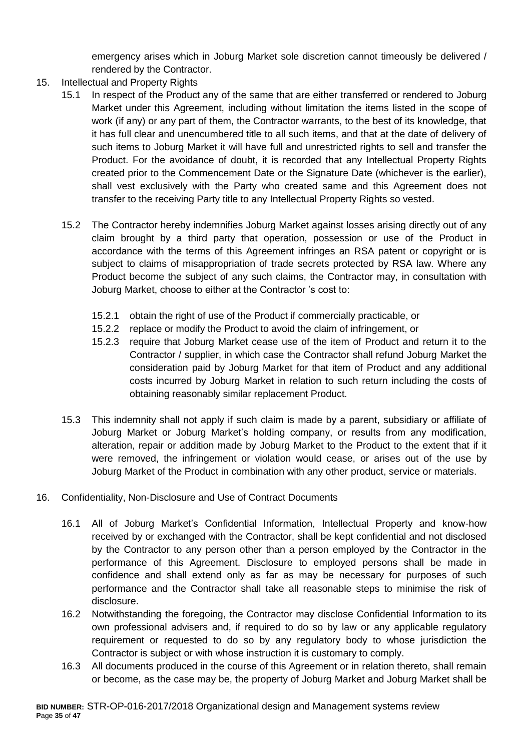emergency arises which in Joburg Market sole discretion cannot timeously be delivered / rendered by the Contractor.

- 15. Intellectual and Property Rights
	- 15.1 In respect of the Product any of the same that are either transferred or rendered to Joburg Market under this Agreement, including without limitation the items listed in the scope of work (if any) or any part of them, the Contractor warrants, to the best of its knowledge, that it has full clear and unencumbered title to all such items, and that at the date of delivery of such items to Joburg Market it will have full and unrestricted rights to sell and transfer the Product. For the avoidance of doubt, it is recorded that any Intellectual Property Rights created prior to the Commencement Date or the Signature Date (whichever is the earlier), shall vest exclusively with the Party who created same and this Agreement does not transfer to the receiving Party title to any Intellectual Property Rights so vested.
	- 15.2 The Contractor hereby indemnifies Joburg Market against losses arising directly out of any claim brought by a third party that operation, possession or use of the Product in accordance with the terms of this Agreement infringes an RSA patent or copyright or is subject to claims of misappropriation of trade secrets protected by RSA law. Where any Product become the subject of any such claims, the Contractor may, in consultation with Joburg Market, choose to either at the Contractor 's cost to:
		- 15.2.1 obtain the right of use of the Product if commercially practicable, or
		- 15.2.2 replace or modify the Product to avoid the claim of infringement, or
		- 15.2.3 require that Joburg Market cease use of the item of Product and return it to the Contractor / supplier, in which case the Contractor shall refund Joburg Market the consideration paid by Joburg Market for that item of Product and any additional costs incurred by Joburg Market in relation to such return including the costs of obtaining reasonably similar replacement Product.
	- 15.3 This indemnity shall not apply if such claim is made by a parent, subsidiary or affiliate of Joburg Market or Joburg Market's holding company, or results from any modification, alteration, repair or addition made by Joburg Market to the Product to the extent that if it were removed, the infringement or violation would cease, or arises out of the use by Joburg Market of the Product in combination with any other product, service or materials.
- 16. Confidentiality, Non-Disclosure and Use of Contract Documents
	- 16.1 All of Joburg Market's Confidential Information, Intellectual Property and know-how received by or exchanged with the Contractor, shall be kept confidential and not disclosed by the Contractor to any person other than a person employed by the Contractor in the performance of this Agreement. Disclosure to employed persons shall be made in confidence and shall extend only as far as may be necessary for purposes of such performance and the Contractor shall take all reasonable steps to minimise the risk of disclosure.
	- 16.2 Notwithstanding the foregoing, the Contractor may disclose Confidential Information to its own professional advisers and, if required to do so by law or any applicable regulatory requirement or requested to do so by any regulatory body to whose jurisdiction the Contractor is subject or with whose instruction it is customary to comply.
	- 16.3 All documents produced in the course of this Agreement or in relation thereto, shall remain or become, as the case may be, the property of Joburg Market and Joburg Market shall be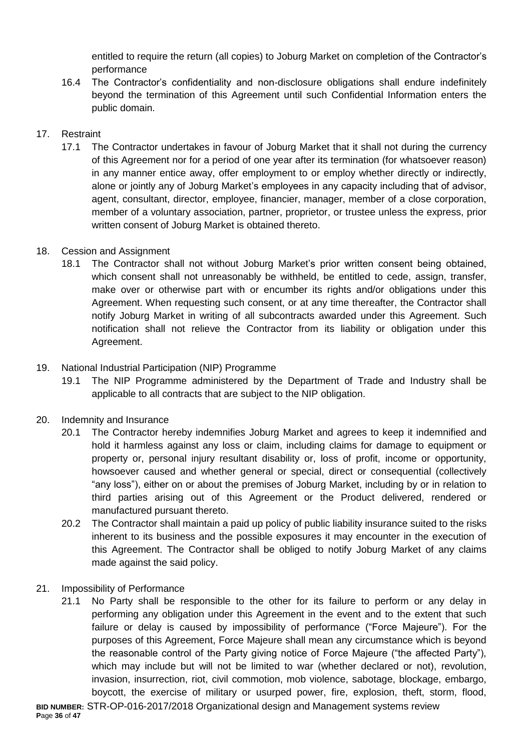entitled to require the return (all copies) to Joburg Market on completion of the Contractor's performance

16.4 The Contractor's confidentiality and non-disclosure obligations shall endure indefinitely beyond the termination of this Agreement until such Confidential Information enters the public domain.

# 17. Restraint

17.1 The Contractor undertakes in favour of Joburg Market that it shall not during the currency of this Agreement nor for a period of one year after its termination (for whatsoever reason) in any manner entice away, offer employment to or employ whether directly or indirectly, alone or jointly any of Joburg Market's employees in any capacity including that of advisor, agent, consultant, director, employee, financier, manager, member of a close corporation, member of a voluntary association, partner, proprietor, or trustee unless the express, prior written consent of Joburg Market is obtained thereto.

# 18. Cession and Assignment

18.1 The Contractor shall not without Joburg Market's prior written consent being obtained, which consent shall not unreasonably be withheld, be entitled to cede, assign, transfer, make over or otherwise part with or encumber its rights and/or obligations under this Agreement. When requesting such consent, or at any time thereafter, the Contractor shall notify Joburg Market in writing of all subcontracts awarded under this Agreement. Such notification shall not relieve the Contractor from its liability or obligation under this Agreement.

# 19. National Industrial Participation (NIP) Programme

19.1 The NIP Programme administered by the Department of Trade and Industry shall be applicable to all contracts that are subject to the NIP obligation.

## 20. Indemnity and Insurance

- 20.1 The Contractor hereby indemnifies Joburg Market and agrees to keep it indemnified and hold it harmless against any loss or claim, including claims for damage to equipment or property or, personal injury resultant disability or, loss of profit, income or opportunity, howsoever caused and whether general or special, direct or consequential (collectively "any loss"), either on or about the premises of Joburg Market, including by or in relation to third parties arising out of this Agreement or the Product delivered, rendered or manufactured pursuant thereto.
- 20.2 The Contractor shall maintain a paid up policy of public liability insurance suited to the risks inherent to its business and the possible exposures it may encounter in the execution of this Agreement. The Contractor shall be obliged to notify Joburg Market of any claims made against the said policy.
- 21. Impossibility of Performance
	- 21.1 No Party shall be responsible to the other for its failure to perform or any delay in performing any obligation under this Agreement in the event and to the extent that such failure or delay is caused by impossibility of performance ("Force Majeure"). For the purposes of this Agreement, Force Majeure shall mean any circumstance which is beyond the reasonable control of the Party giving notice of Force Majeure ("the affected Party"), which may include but will not be limited to war (whether declared or not), revolution, invasion, insurrection, riot, civil commotion, mob violence, sabotage, blockage, embargo, boycott, the exercise of military or usurped power, fire, explosion, theft, storm, flood,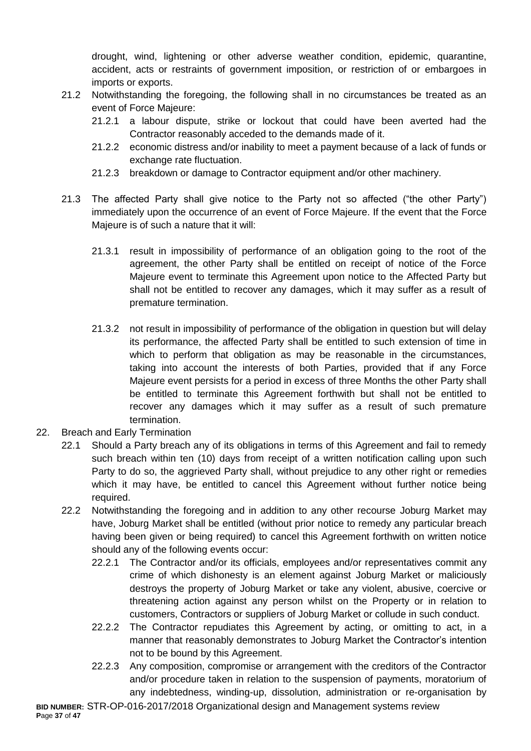drought, wind, lightening or other adverse weather condition, epidemic, quarantine, accident, acts or restraints of government imposition, or restriction of or embargoes in imports or exports.

- 21.2 Notwithstanding the foregoing, the following shall in no circumstances be treated as an event of Force Majeure:
	- 21.2.1 a labour dispute, strike or lockout that could have been averted had the Contractor reasonably acceded to the demands made of it.
	- 21.2.2 economic distress and/or inability to meet a payment because of a lack of funds or exchange rate fluctuation.
	- 21.2.3 breakdown or damage to Contractor equipment and/or other machinery.
- 21.3 The affected Party shall give notice to the Party not so affected ("the other Party") immediately upon the occurrence of an event of Force Majeure. If the event that the Force Majeure is of such a nature that it will:
	- 21.3.1 result in impossibility of performance of an obligation going to the root of the agreement, the other Party shall be entitled on receipt of notice of the Force Majeure event to terminate this Agreement upon notice to the Affected Party but shall not be entitled to recover any damages, which it may suffer as a result of premature termination.
	- 21.3.2 not result in impossibility of performance of the obligation in question but will delay its performance, the affected Party shall be entitled to such extension of time in which to perform that obligation as may be reasonable in the circumstances, taking into account the interests of both Parties, provided that if any Force Majeure event persists for a period in excess of three Months the other Party shall be entitled to terminate this Agreement forthwith but shall not be entitled to recover any damages which it may suffer as a result of such premature termination.
- 22. Breach and Early Termination
	- 22.1 Should a Party breach any of its obligations in terms of this Agreement and fail to remedy such breach within ten (10) days from receipt of a written notification calling upon such Party to do so, the aggrieved Party shall, without prejudice to any other right or remedies which it may have, be entitled to cancel this Agreement without further notice being required.
	- 22.2 Notwithstanding the foregoing and in addition to any other recourse Joburg Market may have, Joburg Market shall be entitled (without prior notice to remedy any particular breach having been given or being required) to cancel this Agreement forthwith on written notice should any of the following events occur:
		- 22.2.1 The Contractor and/or its officials, employees and/or representatives commit any crime of which dishonesty is an element against Joburg Market or maliciously destroys the property of Joburg Market or take any violent, abusive, coercive or threatening action against any person whilst on the Property or in relation to customers, Contractors or suppliers of Joburg Market or collude in such conduct.
		- 22.2.2 The Contractor repudiates this Agreement by acting, or omitting to act, in a manner that reasonably demonstrates to Joburg Market the Contractor's intention not to be bound by this Agreement.
		- 22.2.3 Any composition, compromise or arrangement with the creditors of the Contractor and/or procedure taken in relation to the suspension of payments, moratorium of any indebtedness, winding-up, dissolution, administration or re-organisation by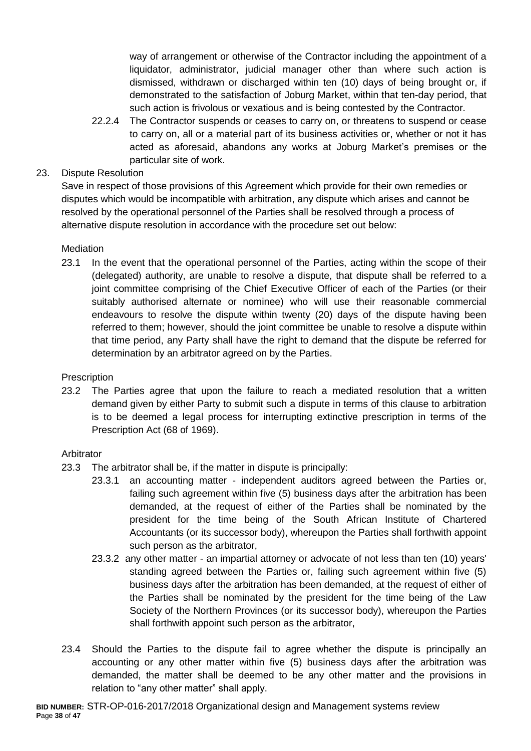way of arrangement or otherwise of the Contractor including the appointment of a liquidator, administrator, judicial manager other than where such action is dismissed, withdrawn or discharged within ten (10) days of being brought or, if demonstrated to the satisfaction of Joburg Market, within that ten-day period, that such action is frivolous or vexatious and is being contested by the Contractor.

22.2.4 The Contractor suspends or ceases to carry on, or threatens to suspend or cease to carry on, all or a material part of its business activities or, whether or not it has acted as aforesaid, abandons any works at Joburg Market's premises or the particular site of work.

# 23. Dispute Resolution

Save in respect of those provisions of this Agreement which provide for their own remedies or disputes which would be incompatible with arbitration, any dispute which arises and cannot be resolved by the operational personnel of the Parties shall be resolved through a process of alternative dispute resolution in accordance with the procedure set out below:

## **Mediation**

23.1 In the event that the operational personnel of the Parties, acting within the scope of their (delegated) authority, are unable to resolve a dispute, that dispute shall be referred to a joint committee comprising of the Chief Executive Officer of each of the Parties (or their suitably authorised alternate or nominee) who will use their reasonable commercial endeavours to resolve the dispute within twenty (20) days of the dispute having been referred to them; however, should the joint committee be unable to resolve a dispute within that time period, any Party shall have the right to demand that the dispute be referred for determination by an arbitrator agreed on by the Parties.

## **Prescription**

23.2 The Parties agree that upon the failure to reach a mediated resolution that a written demand given by either Party to submit such a dispute in terms of this clause to arbitration is to be deemed a legal process for interrupting extinctive prescription in terms of the Prescription Act (68 of 1969).

## Arbitrator

- 23.3 The arbitrator shall be, if the matter in dispute is principally:
	- 23.3.1 an accounting matter independent auditors agreed between the Parties or, failing such agreement within five (5) business days after the arbitration has been demanded, at the request of either of the Parties shall be nominated by the president for the time being of the South African Institute of Chartered Accountants (or its successor body), whereupon the Parties shall forthwith appoint such person as the arbitrator,
	- 23.3.2 any other matter an impartial attorney or advocate of not less than ten (10) years' standing agreed between the Parties or, failing such agreement within five (5) business days after the arbitration has been demanded, at the request of either of the Parties shall be nominated by the president for the time being of the Law Society of the Northern Provinces (or its successor body), whereupon the Parties shall forthwith appoint such person as the arbitrator,
- 23.4 Should the Parties to the dispute fail to agree whether the dispute is principally an accounting or any other matter within five (5) business days after the arbitration was demanded, the matter shall be deemed to be any other matter and the provisions in relation to "any other matter" shall apply.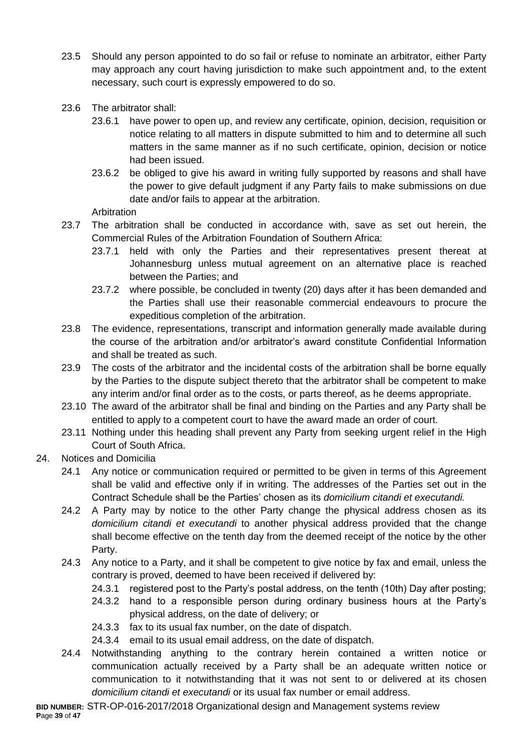- 23.5 Should any person appointed to do so fail or refuse to nominate an arbitrator, either Party may approach any court having jurisdiction to make such appointment and, to the extent necessary, such court is expressly empowered to do so.
- 23.6 The arbitrator shall:
	- 23.6.1 have power to open up, and review any certificate, opinion, decision, requisition or notice relating to all matters in dispute submitted to him and to determine all such matters in the same manner as if no such certificate, opinion, decision or notice had been issued.
	- 23.6.2 be obliged to give his award in writing fully supported by reasons and shall have the power to give default judgment if any Party fails to make submissions on due date and/or fails to appear at the arbitration.

Arbitration

- 23.7 The arbitration shall be conducted in accordance with, save as set out herein, the Commercial Rules of the Arbitration Foundation of Southern Africa:
	- 23.7.1 held with only the Parties and their representatives present thereat at Johannesburg unless mutual agreement on an alternative place is reached between the Parties; and
	- 23.7.2 where possible, be concluded in twenty (20) days after it has been demanded and the Parties shall use their reasonable commercial endeavours to procure the expeditious completion of the arbitration.
- 23.8 The evidence, representations, transcript and information generally made available during the course of the arbitration and/or arbitrator's award constitute Confidential Information and shall be treated as such.
- 23.9 The costs of the arbitrator and the incidental costs of the arbitration shall be borne equally by the Parties to the dispute subject thereto that the arbitrator shall be competent to make any interim and/or final order as to the costs, or parts thereof, as he deems appropriate.
- 23.10 The award of the arbitrator shall be final and binding on the Parties and any Party shall be entitled to apply to a competent court to have the award made an order of court.
- 23.11 Nothing under this heading shall prevent any Party from seeking urgent relief in the High Court of South Africa.
- 24. Notices and Domicilia
	- 24.1 Any notice or communication required or permitted to be given in terms of this Agreement shall be valid and effective only if in writing. The addresses of the Parties set out in the Contract Schedule shall be the Parties' chosen as its *domicilium citandi et executandi.*
	- 24.2 A Party may by notice to the other Party change the physical address chosen as its *domicilium citandi et executandi* to another physical address provided that the change shall become effective on the tenth day from the deemed receipt of the notice by the other Party.
	- 24.3 Any notice to a Party, and it shall be competent to give notice by fax and email, unless the contrary is proved, deemed to have been received if delivered by:
		- 24.3.1 registered post to the Party's postal address, on the tenth (10th) Day after posting;
		- 24.3.2 hand to a responsible person during ordinary business hours at the Party's physical address, on the date of delivery; or
		- 24.3.3 fax to its usual fax number, on the date of dispatch.
		- 24.3.4 email to its usual email address, on the date of dispatch.
	- 24.4 Notwithstanding anything to the contrary herein contained a written notice or communication actually received by a Party shall be an adequate written notice or communication to it notwithstanding that it was not sent to or delivered at its chosen *domicilium citandi et executandi* or its usual fax number or email address.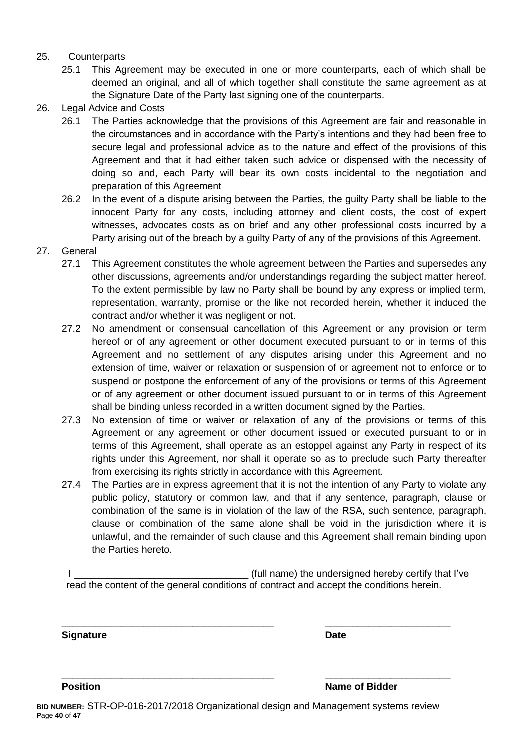#### 25. Counterparts

- 25.1 This Agreement may be executed in one or more counterparts, each of which shall be deemed an original, and all of which together shall constitute the same agreement as at the Signature Date of the Party last signing one of the counterparts.
- 26. Legal Advice and Costs
	- 26.1 The Parties acknowledge that the provisions of this Agreement are fair and reasonable in the circumstances and in accordance with the Party's intentions and they had been free to secure legal and professional advice as to the nature and effect of the provisions of this Agreement and that it had either taken such advice or dispensed with the necessity of doing so and, each Party will bear its own costs incidental to the negotiation and preparation of this Agreement
	- 26.2 In the event of a dispute arising between the Parties, the guilty Party shall be liable to the innocent Party for any costs, including attorney and client costs, the cost of expert witnesses, advocates costs as on brief and any other professional costs incurred by a Party arising out of the breach by a guilty Party of any of the provisions of this Agreement.
- 27. General
	- 27.1 This Agreement constitutes the whole agreement between the Parties and supersedes any other discussions, agreements and/or understandings regarding the subject matter hereof. To the extent permissible by law no Party shall be bound by any express or implied term, representation, warranty, promise or the like not recorded herein, whether it induced the contract and/or whether it was negligent or not.
	- 27.2 No amendment or consensual cancellation of this Agreement or any provision or term hereof or of any agreement or other document executed pursuant to or in terms of this Agreement and no settlement of any disputes arising under this Agreement and no extension of time, waiver or relaxation or suspension of or agreement not to enforce or to suspend or postpone the enforcement of any of the provisions or terms of this Agreement or of any agreement or other document issued pursuant to or in terms of this Agreement shall be binding unless recorded in a written document signed by the Parties.
	- 27.3 No extension of time or waiver or relaxation of any of the provisions or terms of this Agreement or any agreement or other document issued or executed pursuant to or in terms of this Agreement, shall operate as an estoppel against any Party in respect of its rights under this Agreement, nor shall it operate so as to preclude such Party thereafter from exercising its rights strictly in accordance with this Agreement.
	- 27.4 The Parties are in express agreement that it is not the intention of any Party to violate any public policy, statutory or common law, and that if any sentence, paragraph, clause or combination of the same is in violation of the law of the RSA, such sentence, paragraph, clause or combination of the same alone shall be void in the jurisdiction where it is unlawful, and the remainder of such clause and this Agreement shall remain binding upon the Parties hereto.

I Letterman the state of the undersigned hereby certify that I've read the content of the general conditions of contract and accept the conditions herein.

\_\_\_\_\_\_\_\_\_\_\_\_\_\_\_\_\_\_\_\_\_\_\_\_\_\_\_\_\_\_\_\_\_\_\_\_\_\_\_ \_\_\_\_\_\_\_\_\_\_\_\_\_\_\_\_\_\_\_\_\_\_\_

\_\_\_\_\_\_\_\_\_\_\_\_\_\_\_\_\_\_\_\_\_\_\_\_\_\_\_\_\_\_\_\_\_\_\_\_\_\_\_ \_\_\_\_\_\_\_\_\_\_\_\_\_\_\_\_\_\_\_\_\_\_\_

**Signature Date**

**Position Position Name of Bidder**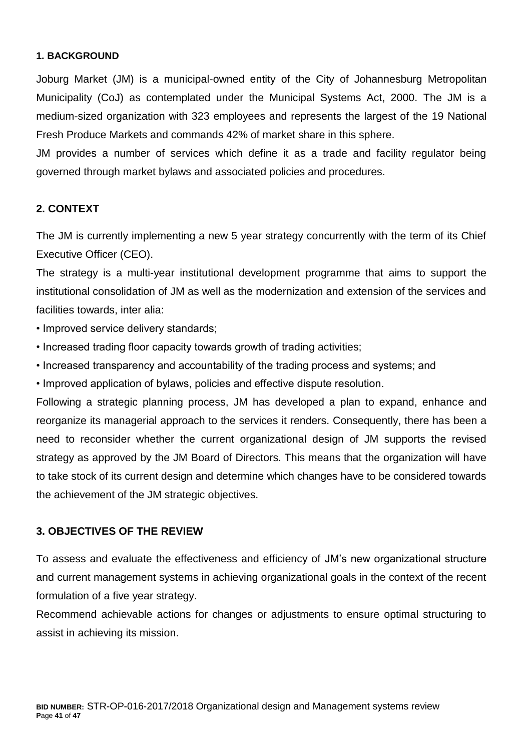# **1. BACKGROUND**

Joburg Market (JM) is a municipal-owned entity of the City of Johannesburg Metropolitan Municipality (CoJ) as contemplated under the Municipal Systems Act, 2000. The JM is a medium-sized organization with 323 employees and represents the largest of the 19 National Fresh Produce Markets and commands 42% of market share in this sphere.

JM provides a number of services which define it as a trade and facility regulator being governed through market bylaws and associated policies and procedures.

# **2. CONTEXT**

The JM is currently implementing a new 5 year strategy concurrently with the term of its Chief Executive Officer (CEO).

The strategy is a multi-year institutional development programme that aims to support the institutional consolidation of JM as well as the modernization and extension of the services and facilities towards, inter alia:

- Improved service delivery standards;
- Increased trading floor capacity towards growth of trading activities;
- Increased transparency and accountability of the trading process and systems; and
- Improved application of bylaws, policies and effective dispute resolution.

Following a strategic planning process, JM has developed a plan to expand, enhance and reorganize its managerial approach to the services it renders. Consequently, there has been a need to reconsider whether the current organizational design of JM supports the revised strategy as approved by the JM Board of Directors. This means that the organization will have to take stock of its current design and determine which changes have to be considered towards the achievement of the JM strategic objectives.

## **3. OBJECTIVES OF THE REVIEW**

To assess and evaluate the effectiveness and efficiency of JM's new organizational structure and current management systems in achieving organizational goals in the context of the recent formulation of a five year strategy.

Recommend achievable actions for changes or adjustments to ensure optimal structuring to assist in achieving its mission.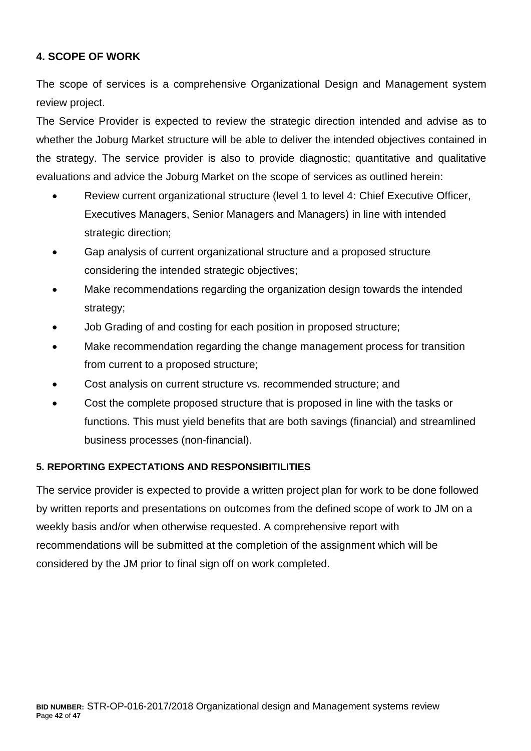# **4. SCOPE OF WORK**

The scope of services is a comprehensive Organizational Design and Management system review project.

The Service Provider is expected to review the strategic direction intended and advise as to whether the Joburg Market structure will be able to deliver the intended objectives contained in the strategy. The service provider is also to provide diagnostic; quantitative and qualitative evaluations and advice the Joburg Market on the scope of services as outlined herein:

- Review current organizational structure (level 1 to level 4: Chief Executive Officer, Executives Managers, Senior Managers and Managers) in line with intended strategic direction;
- Gap analysis of current organizational structure and a proposed structure considering the intended strategic objectives;
- Make recommendations regarding the organization design towards the intended strategy;
- Job Grading of and costing for each position in proposed structure;
- Make recommendation regarding the change management process for transition from current to a proposed structure;
- Cost analysis on current structure vs. recommended structure; and
- Cost the complete proposed structure that is proposed in line with the tasks or functions. This must yield benefits that are both savings (financial) and streamlined business processes (non-financial).

# **5. REPORTING EXPECTATIONS AND RESPONSIBITILITIES**

The service provider is expected to provide a written project plan for work to be done followed by written reports and presentations on outcomes from the defined scope of work to JM on a weekly basis and/or when otherwise requested. A comprehensive report with recommendations will be submitted at the completion of the assignment which will be considered by the JM prior to final sign off on work completed.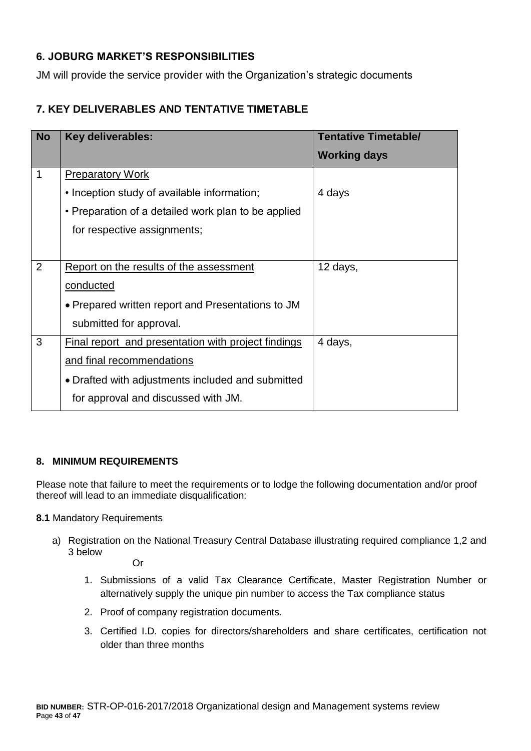# **6. JOBURG MARKET'S RESPONSIBILITIES**

JM will provide the service provider with the Organization's strategic documents

# **7. KEY DELIVERABLES AND TENTATIVE TIMETABLE**

| <b>No</b>   | <b>Key deliverables:</b>                            | <b>Tentative Timetable/</b> |
|-------------|-----------------------------------------------------|-----------------------------|
|             |                                                     | <b>Working days</b>         |
| $\mathbf 1$ | <b>Preparatory Work</b>                             |                             |
|             | • Inception study of available information;         | 4 days                      |
|             | • Preparation of a detailed work plan to be applied |                             |
|             | for respective assignments;                         |                             |
|             |                                                     |                             |
| 2           | Report on the results of the assessment             | 12 days,                    |
|             | <u>conducted</u>                                    |                             |
|             | • Prepared written report and Presentations to JM   |                             |
|             | submitted for approval.                             |                             |
| 3           | Final report and presentation with project findings | 4 days,                     |
|             | and final recommendations                           |                             |
|             | • Drafted with adjustments included and submitted   |                             |
|             | for approval and discussed with JM.                 |                             |

## **8. MINIMUM REQUIREMENTS**

Please note that failure to meet the requirements or to lodge the following documentation and/or proof thereof will lead to an immediate disqualification:

#### **8.1** Mandatory Requirements

a) Registration on the National Treasury Central Database illustrating required compliance 1,2 and 3 below

Or

- 1. Submissions of a valid Tax Clearance Certificate, Master Registration Number or alternatively supply the unique pin number to access the Tax compliance status
- 2. Proof of company registration documents.
- 3. Certified I.D. copies for directors/shareholders and share certificates, certification not older than three months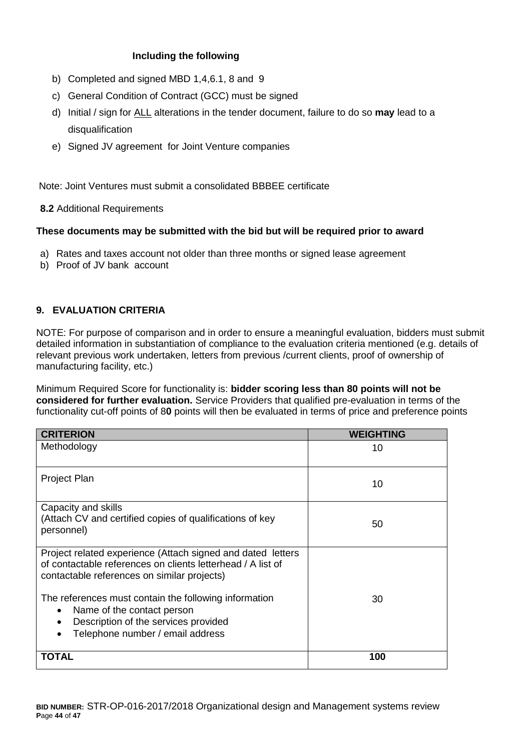#### **Including the following**

- b) Completed and signed MBD 1,4,6.1, 8 and 9
- c) General Condition of Contract (GCC) must be signed
- d) Initial / sign for ALL alterations in the tender document, failure to do so **may** lead to a disqualification
- e) Signed JV agreement for Joint Venture companies

Note: Joint Ventures must submit a consolidated BBBEE certificate

**8.2** Additional Requirements

#### **These documents may be submitted with the bid but will be required prior to award**

- a) Rates and taxes account not older than three months or signed lease agreement
- b) Proof of JV bank account

## **9. EVALUATION CRITERIA**

NOTE: For purpose of comparison and in order to ensure a meaningful evaluation, bidders must submit detailed information in substantiation of compliance to the evaluation criteria mentioned (e.g. details of relevant previous work undertaken, letters from previous /current clients, proof of ownership of manufacturing facility, etc.)

Minimum Required Score for functionality is: **bidder scoring less than 80 points will not be considered for further evaluation.** Service Providers that qualified pre-evaluation in terms of the functionality cut-off points of 8**0** points will then be evaluated in terms of price and preference points

| <b>CRITERION</b>                                                                                                                                                          | <b>WEIGHTING</b> |
|---------------------------------------------------------------------------------------------------------------------------------------------------------------------------|------------------|
| Methodology                                                                                                                                                               | 10               |
| Project Plan                                                                                                                                                              | 10               |
| Capacity and skills<br>(Attach CV and certified copies of qualifications of key<br>personnel)                                                                             | 50               |
| Project related experience (Attach signed and dated letters<br>of contactable references on clients letterhead / A list of<br>contactable references on similar projects) |                  |
| The references must contain the following information<br>Name of the contact person<br>Description of the services provided<br>Telephone number / email address           | 30               |
| TOTAL                                                                                                                                                                     | 100              |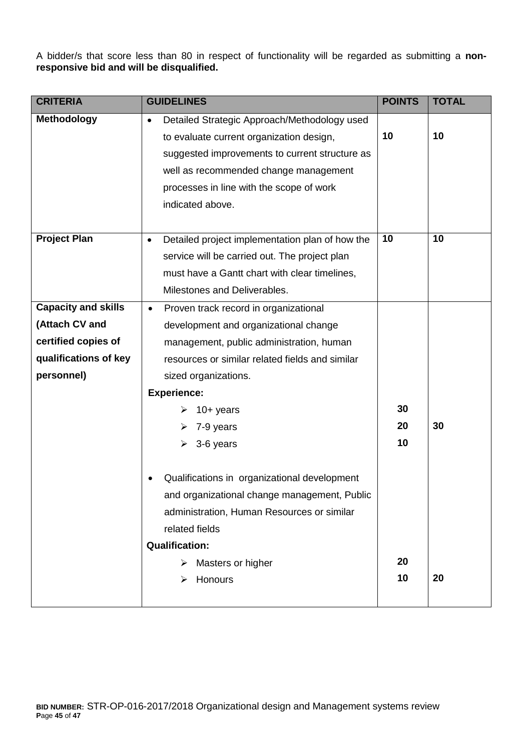A bidder/s that score less than 80 in respect of functionality will be regarded as submitting a **nonresponsive bid and will be disqualified.**

| <b>CRITERIA</b>            | <b>GUIDELINES</b>                                            | <b>POINTS</b> | <b>TOTAL</b> |
|----------------------------|--------------------------------------------------------------|---------------|--------------|
| <b>Methodology</b>         | Detailed Strategic Approach/Methodology used<br>$\bullet$    |               |              |
|                            | to evaluate current organization design,                     | 10            | 10           |
|                            | suggested improvements to current structure as               |               |              |
|                            | well as recommended change management                        |               |              |
|                            | processes in line with the scope of work                     |               |              |
|                            | indicated above.                                             |               |              |
|                            |                                                              |               |              |
| <b>Project Plan</b>        | Detailed project implementation plan of how the<br>$\bullet$ | 10            | 10           |
|                            | service will be carried out. The project plan                |               |              |
|                            | must have a Gantt chart with clear timelines,                |               |              |
|                            | Milestones and Deliverables.                                 |               |              |
| <b>Capacity and skills</b> | Proven track record in organizational<br>$\bullet$           |               |              |
| (Attach CV and             | development and organizational change                        |               |              |
| certified copies of        | management, public administration, human                     |               |              |
| qualifications of key      | resources or similar related fields and similar              |               |              |
| personnel)                 | sized organizations.                                         |               |              |
|                            | <b>Experience:</b>                                           |               |              |
|                            | $10+$ years                                                  | 30            |              |
|                            | 7-9 years                                                    | 20            | 30           |
|                            | 3-6 years                                                    | 10            |              |
|                            |                                                              |               |              |
|                            | Qualifications in organizational development                 |               |              |
|                            | and organizational change management, Public                 |               |              |
|                            | administration, Human Resources or similar                   |               |              |
|                            | related fields                                               |               |              |
|                            | <b>Qualification:</b>                                        |               |              |
|                            | Masters or higher                                            | 20            |              |
|                            | Honours                                                      | 10            | 20           |
|                            |                                                              |               |              |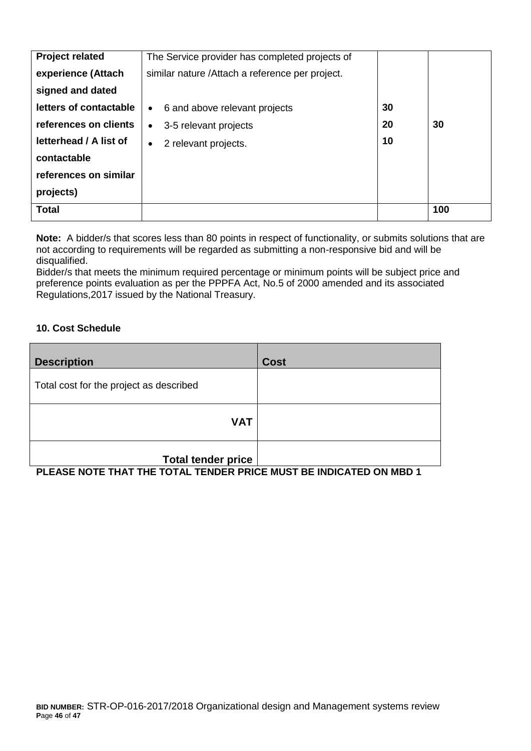| <b>Project related</b> | The Service provider has completed projects of   |    |     |
|------------------------|--------------------------------------------------|----|-----|
| experience (Attach     | similar nature / Attach a reference per project. |    |     |
| signed and dated       |                                                  |    |     |
| letters of contactable | 6 and above relevant projects<br>$\bullet$       | 30 |     |
| references on clients  | 3-5 relevant projects<br>$\bullet$               | 20 | 30  |
| letterhead / A list of | 2 relevant projects.<br>$\bullet$                | 10 |     |
| contactable            |                                                  |    |     |
| references on similar  |                                                  |    |     |
| projects)              |                                                  |    |     |
| <b>Total</b>           |                                                  |    | 100 |

**Note:** A bidder/s that scores less than 80 points in respect of functionality, or submits solutions that are not according to requirements will be regarded as submitting a non-responsive bid and will be disqualified.

Bidder/s that meets the minimum required percentage or minimum points will be subject price and preference points evaluation as per the PPPFA Act, No.5 of 2000 amended and its associated Regulations,2017 issued by the National Treasury.

#### **10. Cost Schedule**

| <b>Description</b>                      | <b>Cost</b> |
|-----------------------------------------|-------------|
| Total cost for the project as described |             |
| <b>VAT</b>                              |             |
| <b>Total tender price</b>               |             |

**PLEASE NOTE THAT THE TOTAL TENDER PRICE MUST BE INDICATED ON MBD 1**